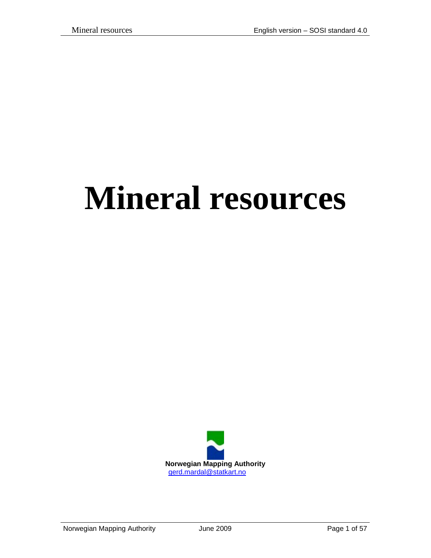# **Mineral resources**

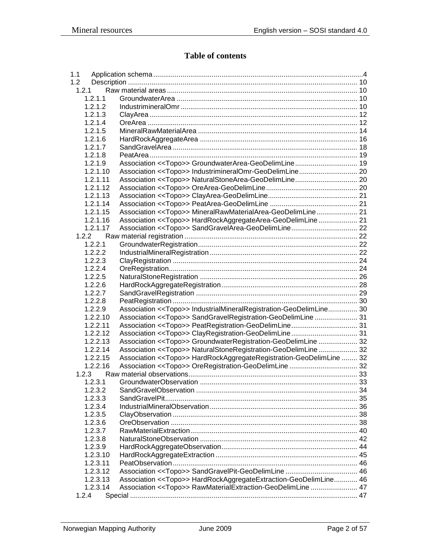## **Table of contents**

| 1.1      |                                                                               |  |
|----------|-------------------------------------------------------------------------------|--|
| 1.2      |                                                                               |  |
| 1.2.1    |                                                                               |  |
| 1.2.1.1  |                                                                               |  |
| 1.2.1.2  |                                                                               |  |
| 1.2.1.3  |                                                                               |  |
| 1.2.1.4  |                                                                               |  |
| 1.2.1.5  |                                                                               |  |
| 1.2.1.6  |                                                                               |  |
| 1.2.1.7  |                                                                               |  |
| 1.2.1.8  |                                                                               |  |
| 1.2.1.9  |                                                                               |  |
| 1.2.1.10 |                                                                               |  |
| 1.2.1.11 |                                                                               |  |
| 1.2.1.12 |                                                                               |  |
| 1.2.1.13 |                                                                               |  |
| 1.2.1.14 |                                                                               |  |
| 1.2.1.15 | Association << Topo>> MineralRawMaterialArea-GeoDelimLine 21                  |  |
| 1.2.1.16 | Association << Topo>> HardRockAggregateArea-GeoDelimLine  21                  |  |
| 1.2.1.17 |                                                                               |  |
| 1.2.2    |                                                                               |  |
| 1.2.2.1  |                                                                               |  |
| 1.2.2.2  |                                                                               |  |
| 1.2.2.3  |                                                                               |  |
| 1.2.2.4  |                                                                               |  |
| 1.2.2.5  |                                                                               |  |
| 1.2.2.6  |                                                                               |  |
| 1.2.2.7  |                                                                               |  |
| 1.2.2.8  |                                                                               |  |
| 1.2.2.9  | Association < <topo>&gt; IndustrialMineralRegistration-GeoDelimLine 30</topo> |  |
| 1.2.2.10 | Association << Topo>> SandGravelRegistration-GeoDelimLine 31                  |  |
| 1.2.2.11 |                                                                               |  |
| 1.2.2.12 |                                                                               |  |
| 1.2.2.13 | Association << Topo>> GroundwaterRegistration-GeoDelimLine  32                |  |
| 1.2.2.14 | Association << Topo>> NaturalStoneRegistration-GeoDelimLine 32                |  |
| 1.2.2.15 | Association << Topo>> HardRockAggregateRegistration-GeoDelimLine  32          |  |
| 1.2.2.16 |                                                                               |  |
| 1.2.3    |                                                                               |  |
| 1.2.3.1  |                                                                               |  |
| 1.2.3.2  |                                                                               |  |
| 1.2.3.3  |                                                                               |  |
| 1.2.3.4  |                                                                               |  |
| 1.2.3.5  |                                                                               |  |
| 1.2.3.6  |                                                                               |  |
| 1.2.3.7  |                                                                               |  |
| 1.2.3.8  |                                                                               |  |
| 1.2.3.9  |                                                                               |  |
| 1.2.3.10 |                                                                               |  |
| 1.2.3.11 |                                                                               |  |
| 1.2.3.12 |                                                                               |  |
| 1.2.3.13 | Association << Topo>> HardRockAggregateExtraction-GeoDelimLine 46             |  |
| 1.2.3.14 | Association << Topo>> RawMaterialExtraction-GeoDelimLine  47                  |  |
| 1.2.4    |                                                                               |  |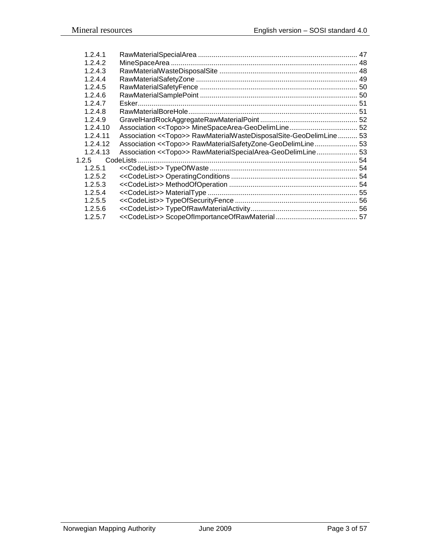| 1.2.4.1    |                                                                        |  |
|------------|------------------------------------------------------------------------|--|
| 1.2.4.2    |                                                                        |  |
| 1.2.4.3    |                                                                        |  |
| 1, 2, 4, 4 |                                                                        |  |
| 1.2.4.5    |                                                                        |  |
| 1.2.4.6    |                                                                        |  |
| 1.2.4.7    |                                                                        |  |
| 1.2.4.8    |                                                                        |  |
| 1.2.4.9    |                                                                        |  |
| 1.2.4.10   |                                                                        |  |
| 1.2.4.11   | Association << Topo>> RawMaterialWasteDisposalSite-GeoDelimLine 53     |  |
| 1.2.4.12   | Association < <topo>&gt; RawMaterialSafetyZone-GeoDelimLine 53</topo>  |  |
| 1.2.4.13   | Association < <topo>&gt; RawMaterialSpecialArea-GeoDelimLine 53</topo> |  |
| 1.2.5      |                                                                        |  |
| 1.2.5.1    |                                                                        |  |
| 1.2.5.2    |                                                                        |  |
| 1.2.5.3    |                                                                        |  |
| 1.2.5.4    |                                                                        |  |
| 1.2.5.5    |                                                                        |  |
| 1.2.5.6    |                                                                        |  |
| 1.2.5.7    |                                                                        |  |
|            |                                                                        |  |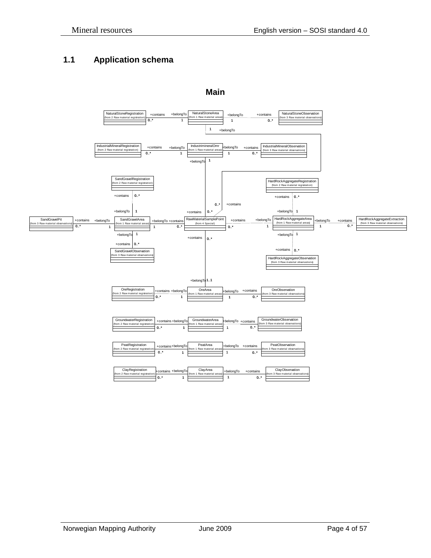# <span id="page-3-0"></span>**1.1 Application schema**



#### **Main**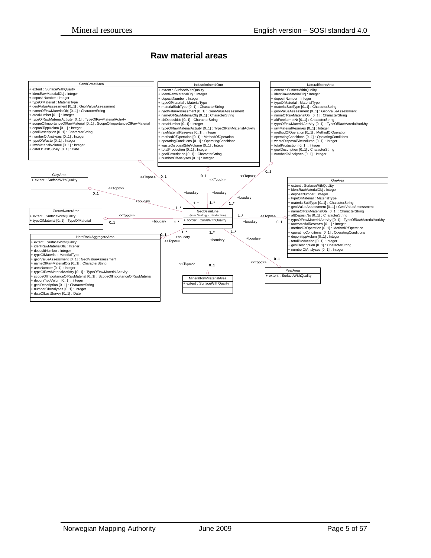#### **Raw material areas**

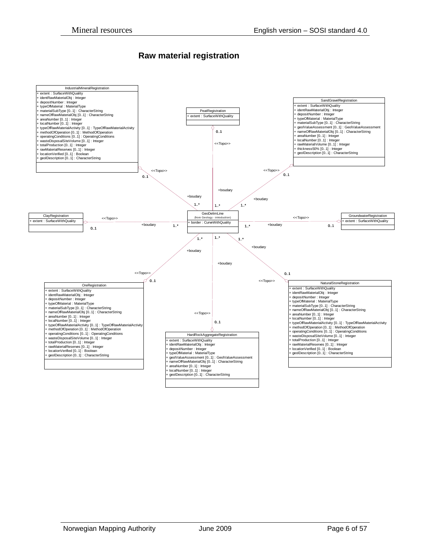#### **Raw material registration**

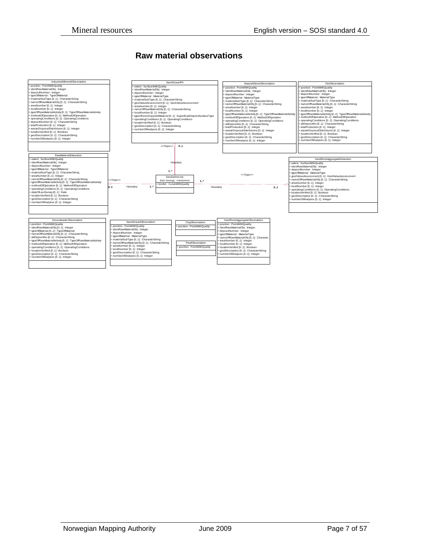#### **Raw material observations**

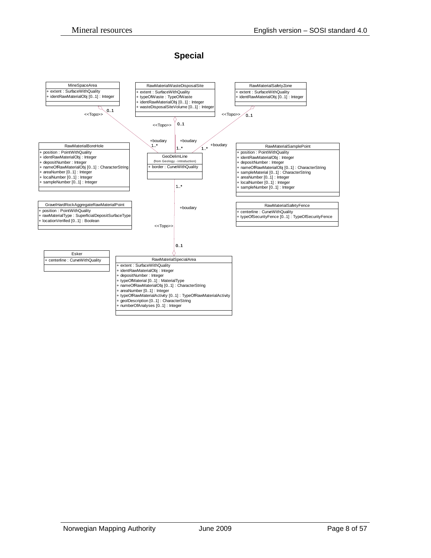#### **Special**

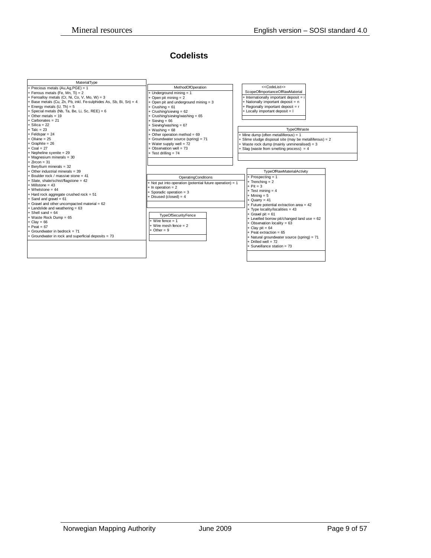#### **Codelists**

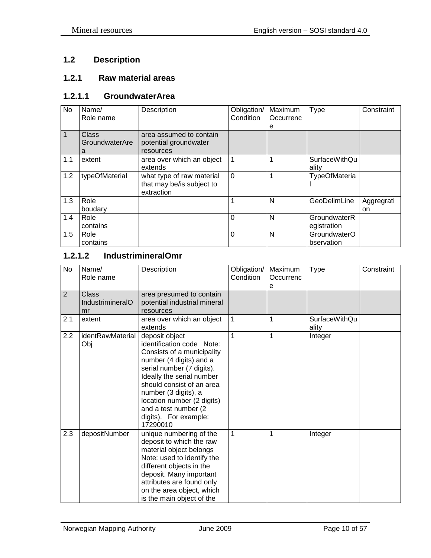# <span id="page-9-0"></span>**1.2 Description**

#### <span id="page-9-1"></span>**1.2.1 Raw material areas**

#### <span id="page-9-2"></span>**1.2.1.1 GroundwaterArea**

| No  | Name/<br>Role name | Description               | Obligation/<br>Condition | Maximum<br>Occurrenc | <b>Type</b>          | Constraint |
|-----|--------------------|---------------------------|--------------------------|----------------------|----------------------|------------|
|     |                    |                           |                          | е                    |                      |            |
| 1   | Class              | area assumed to contain   |                          |                      |                      |            |
|     | GroundwaterAre     | potential groundwater     |                          |                      |                      |            |
|     | a                  | resources                 |                          |                      |                      |            |
| 1.1 | extent             | area over which an object | 1                        |                      | <b>SurfaceWithQu</b> |            |
|     |                    | extends                   |                          |                      | ality                |            |
| 1.2 | typeOfMaterial     | what type of raw material | 0                        |                      | <b>TypeOfMateria</b> |            |
|     |                    | that may be/is subject to |                          |                      |                      |            |
|     |                    | extraction                |                          |                      |                      |            |
| 1.3 | Role               |                           |                          | N                    | GeoDelimLine         | Aggregrati |
|     | boudary            |                           |                          |                      |                      | on         |
| 1.4 | Role               |                           | 0                        | N                    | GroundwaterR         |            |
|     | contains           |                           |                          |                      | egistration          |            |
| 1.5 | Role               |                           | $\Omega$                 | N                    | GroundwaterO         |            |
|     | contains           |                           |                          |                      | bservation           |            |

#### <span id="page-9-3"></span>**1.2.1.2 IndustrimineralOmr**

| <b>No</b>      | Name/<br>Role name                     | Description                                                                                                                                                                                                                                                                                                     | Obligation/<br>Condition | Maximum<br>Occurrenc<br>e | <b>Type</b>                   | Constraint |
|----------------|----------------------------------------|-----------------------------------------------------------------------------------------------------------------------------------------------------------------------------------------------------------------------------------------------------------------------------------------------------------------|--------------------------|---------------------------|-------------------------------|------------|
| $\overline{2}$ | <b>Class</b><br>IndustrimineralO<br>mr | area presumed to contain<br>potential industrial mineral<br>resources                                                                                                                                                                                                                                           |                          |                           |                               |            |
| 2.1            | extent                                 | area over which an object<br>extends                                                                                                                                                                                                                                                                            | 1                        | 1                         | <b>SurfaceWithQu</b><br>ality |            |
| 2.2            | identRawMaterial<br>Obj                | deposit object<br>identification code Note:<br>Consists of a municipality<br>number (4 digits) and a<br>serial number (7 digits).<br>Ideally the serial number<br>should consist of an area<br>number (3 digits), a<br>location number (2 digits)<br>and a test number (2)<br>digits). For example:<br>17290010 | 1                        | 1                         | Integer                       |            |
| 2.3            | depositNumber                          | unique numbering of the<br>deposit to which the raw<br>material object belongs<br>Note: used to identify the<br>different objects in the<br>deposit. Many important<br>attributes are found only<br>on the area object, which<br>is the main object of the                                                      | 1                        | 1                         | Integer                       |            |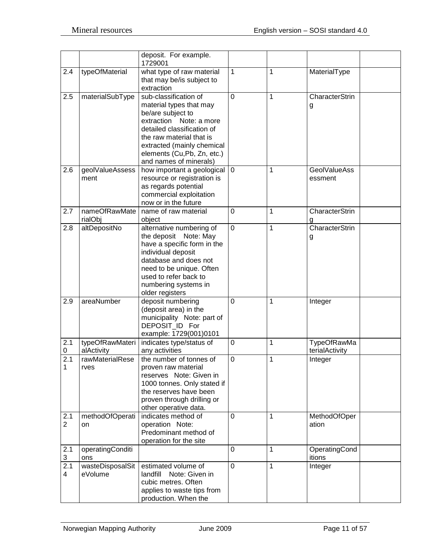|                       |                               | deposit. For example.<br>1729001                                                                                                                                                                                                                  |             |   |                                |
|-----------------------|-------------------------------|---------------------------------------------------------------------------------------------------------------------------------------------------------------------------------------------------------------------------------------------------|-------------|---|--------------------------------|
| 2.4                   | typeOfMaterial                | what type of raw material<br>that may be/is subject to<br>extraction                                                                                                                                                                              | 1           | 1 | MaterialType                   |
| 2.5                   | materialSubType               | sub-classification of<br>material types that may<br>be/are subject to<br>extraction Note: a more<br>detailed classification of<br>the raw material that is<br>extracted (mainly chemical<br>elements (Cu, Pb, Zn, etc.)<br>and names of minerals) | 0           | 1 | CharacterStrin<br>g            |
| 2.6                   | geolValueAssess<br>ment       | how important a geological<br>resource or registration is<br>as regards potential<br>commercial exploitation<br>now or in the future                                                                                                              | $\mathbf 0$ | 1 | <b>GeolValueAss</b><br>essment |
| 2.7                   | nameOfRawMate<br>rialObj      | name of raw material<br>object                                                                                                                                                                                                                    | $\mathbf 0$ | 1 | CharacterStrin<br>g            |
| 2.8                   | altDepositNo                  | alternative numbering of<br>the deposit<br>Note: May<br>have a specific form in the<br>individual deposit<br>database and does not<br>need to be unique. Often<br>used to refer back to<br>numbering systems in<br>older registers                | $\mathbf 0$ | 1 | CharacterStrin<br>g            |
| 2.9                   | areaNumber                    | deposit numbering<br>(deposit area) in the<br>municipality Note: part of<br>DEPOSIT_ID For<br>example: 1729(001)0101                                                                                                                              | 0           | 1 | Integer                        |
| 2.1<br>0              | typeOfRawMateri<br>alActivity | indicates type/status of<br>any activities                                                                                                                                                                                                        | 0           | 1 | TypeOfRawMa<br>terialActivity  |
| 2.1<br>1              | rawMaterialRese<br>rves       | the number of tonnes of<br>proven raw material<br>reserves Note: Given in<br>1000 tonnes. Only stated if<br>the reserves have been<br>proven through drilling or<br>other operative data.                                                         | 0           | 1 | Integer                        |
| 2.1<br>$\overline{2}$ | methodOfOperati<br>on         | indicates method of<br>operation Note:<br>Predominant method of<br>operation for the site                                                                                                                                                         | 0           | 1 | MethodOfOper<br>ation          |
| 2.1<br>3              | operatingConditi<br>ons       |                                                                                                                                                                                                                                                   | 0           | 1 | OperatingCond<br>itions        |
| 2.1<br>4              | wasteDisposalSit<br>eVolume   | estimated volume of<br>landfill Note: Given in<br>cubic metres. Often<br>applies to waste tips from<br>production. When the                                                                                                                       | 0           | 1 | Integer                        |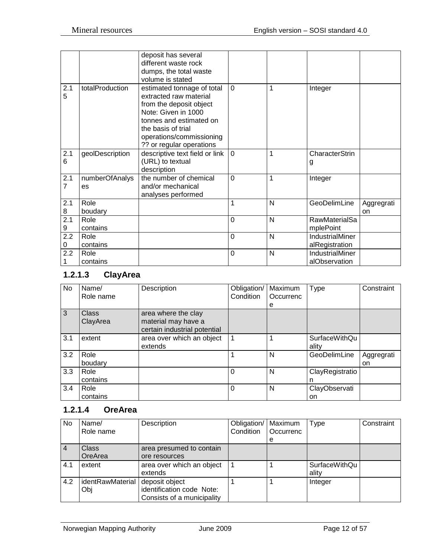|                       |                      | deposit has several<br>different waste rock<br>dumps, the total waste<br>volume is stated                                                                                                                       |                |   |                                   |                  |
|-----------------------|----------------------|-----------------------------------------------------------------------------------------------------------------------------------------------------------------------------------------------------------------|----------------|---|-----------------------------------|------------------|
| 2.1<br>5              | totalProduction      | estimated tonnage of total<br>extracted raw material<br>from the deposit object<br>Note: Given in 1000<br>tonnes and estimated on<br>the basis of trial<br>operations/commissioning<br>?? or regular operations | $\Omega$       | 1 | Integer                           |                  |
| 2.1<br>6              | geolDescription      | descriptive text field or link<br>(URL) to textual<br>description                                                                                                                                               | $\overline{0}$ | 1 | <b>CharacterStrin</b><br>g        |                  |
| 2.1<br>7              | numberOfAnalys<br>es | the number of chemical<br>and/or mechanical<br>analyses performed                                                                                                                                               | $\Omega$       | 1 | Integer                           |                  |
| 2.1<br>8              | Role<br>boudary      |                                                                                                                                                                                                                 | 1              | N | GeoDelimLine                      | Aggregrati<br>on |
| $\overline{2.1}$<br>9 | Role<br>contains     |                                                                                                                                                                                                                 | $\Omega$       | N | <b>RawMaterialSa</b><br>mplePoint |                  |
| 2.2<br>0              | Role<br>contains     |                                                                                                                                                                                                                 | $\overline{0}$ | N | IndustrialMiner<br>alRegistration |                  |
| 2.2                   | Role<br>contains     |                                                                                                                                                                                                                 | $\overline{0}$ | N | IndustrialMiner<br>alObservation  |                  |

# <span id="page-11-0"></span>**1.2.1.3 ClayArea**

| No  | Name/<br>Role name       | Description                                                                | Obligation/<br>Condition | Maximum<br>Occurrenc | Type                          | Constraint       |
|-----|--------------------------|----------------------------------------------------------------------------|--------------------------|----------------------|-------------------------------|------------------|
| 3   | <b>Class</b><br>ClayArea | area where the clay<br>material may have a<br>certain industrial potential |                          | е                    |                               |                  |
| 3.1 | extent                   | area over which an object<br>extends                                       | 1                        |                      | <b>SurfaceWithQu</b><br>ality |                  |
| 3.2 | Role<br>boudary          |                                                                            |                          | N                    | GeoDelimLine                  | Aggregrati<br>on |
| 3.3 | Role<br>contains         |                                                                            | 0                        | N                    | ClayRegistratio<br>n          |                  |
| 3.4 | Role<br>contains         |                                                                            | 0                        | N                    | ClayObservati<br>on           |                  |

# <span id="page-11-1"></span>**1.2.1.4 OreArea**

| No             | Name/<br>Role name      | Description                                                               | Obligation/<br>Condition | Maximum<br>Occurrenc | Type                          | Constraint |
|----------------|-------------------------|---------------------------------------------------------------------------|--------------------------|----------------------|-------------------------------|------------|
|                |                         |                                                                           |                          | e                    |                               |            |
| $\overline{4}$ | <b>Class</b><br>OreArea | area presumed to contain<br>ore resources                                 |                          |                      |                               |            |
| 4.1            | extent                  | area over which an object<br>extends                                      |                          |                      | <b>SurfaceWithQu</b><br>ality |            |
| 4.2            | identRawMaterial<br>Obj | deposit object<br>identification code Note:<br>Consists of a municipality |                          |                      | Integer                       |            |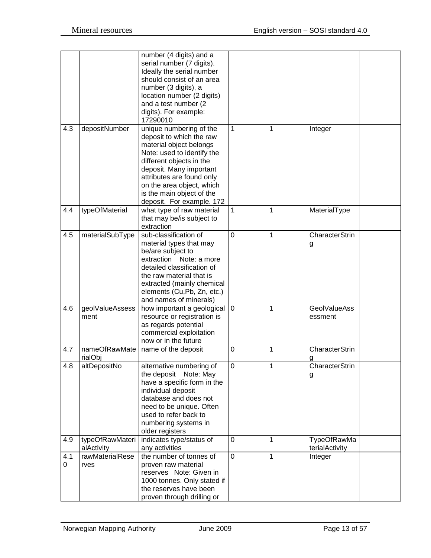|          |                               | number (4 digits) and a<br>serial number (7 digits).<br>Ideally the serial number<br>should consist of an area<br>number (3 digits), a<br>location number (2 digits)<br>and a test number (2<br>digits). For example:<br>17290010                                                       |              |              |                                      |  |
|----------|-------------------------------|-----------------------------------------------------------------------------------------------------------------------------------------------------------------------------------------------------------------------------------------------------------------------------------------|--------------|--------------|--------------------------------------|--|
| 4.3      | depositNumber                 | unique numbering of the<br>deposit to which the raw<br>material object belongs<br>Note: used to identify the<br>different objects in the<br>deposit. Many important<br>attributes are found only<br>on the area object, which<br>is the main object of the<br>deposit. For example. 172 | 1            | 1            | Integer                              |  |
| 4.4      | typeOfMaterial                | what type of raw material<br>that may be/is subject to<br>extraction                                                                                                                                                                                                                    | $\mathbf{1}$ | 1            | MaterialType                         |  |
| 4.5      | materialSubType               | sub-classification of<br>material types that may<br>be/are subject to<br>extraction Note: a more<br>detailed classification of<br>the raw material that is<br>extracted (mainly chemical<br>elements (Cu, Pb, Zn, etc.)<br>and names of minerals)                                       | 0            | 1            | CharacterStrin<br>g                  |  |
| 4.6      | geolValueAssess<br>ment       | how important a geological<br>resource or registration is<br>as regards potential<br>commercial exploitation<br>now or in the future                                                                                                                                                    | 0            | 1            | <b>GeolValueAss</b><br>essment       |  |
| 4.7      | nameOfRawMate<br>rialObj      | name of the deposit                                                                                                                                                                                                                                                                     | 0            | 1            | CharacterStrin<br>g                  |  |
| 4.8      | altDepositNo                  | alternative numbering of<br>the deposit<br>Note: May<br>have a specific form in the<br>individual deposit<br>database and does not<br>need to be unique. Often<br>used to refer back to<br>numbering systems in<br>older registers                                                      | $\pmb{0}$    | 1            | CharacterStrin<br>g                  |  |
| 4.9      | typeOfRawMateri<br>alActivity | indicates type/status of<br>any activities                                                                                                                                                                                                                                              | $\mathbf 0$  | 1            | <b>TypeOfRawMa</b><br>terialActivity |  |
| 4.1<br>0 | rawMaterialRese<br>rves       | the number of tonnes of<br>proven raw material<br>reserves Note: Given in<br>1000 tonnes. Only stated if<br>the reserves have been<br>proven through drilling or                                                                                                                        | $\mathbf 0$  | $\mathbf{1}$ | Integer                              |  |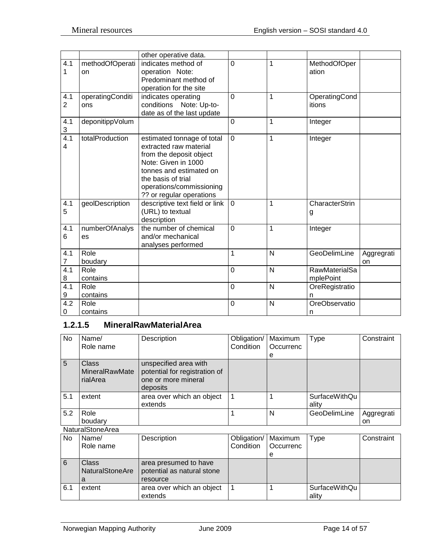|                                  |                         | other operative data.                                                                                                                                                                                           |                |                |                                   |                  |
|----------------------------------|-------------------------|-----------------------------------------------------------------------------------------------------------------------------------------------------------------------------------------------------------------|----------------|----------------|-----------------------------------|------------------|
| 4.1<br>1                         | methodOfOperati<br>on   | indicates method of<br>operation Note:<br>Predominant method of<br>operation for the site                                                                                                                       | $\mathbf 0$    | 1              | MethodOfOper<br>ation             |                  |
| 4.1<br>2                         | operatingConditi<br>ons | indicates operating<br>conditions Note: Up-to-<br>date as of the last update                                                                                                                                    | $\overline{0}$ | 1              | OperatingCond<br>itions           |                  |
| 4.1<br>$\ensuremath{\mathsf{3}}$ | deponitippVolum         |                                                                                                                                                                                                                 | $\overline{0}$ | 1              | Integer                           |                  |
| 4.1<br>4                         | totalProduction         | estimated tonnage of total<br>extracted raw material<br>from the deposit object<br>Note: Given in 1000<br>tonnes and estimated on<br>the basis of trial<br>operations/commissioning<br>?? or regular operations | $\Omega$       | 1              | Integer                           |                  |
| 4.1<br>5                         | geolDescription         | descriptive text field or link<br>(URL) to textual<br>description                                                                                                                                               | $\mathbf 0$    | 1              | CharacterStrin<br>g               |                  |
| 4.1<br>6                         | numberOfAnalys<br>es    | the number of chemical<br>and/or mechanical<br>analyses performed                                                                                                                                               | $\overline{0}$ | 1              | Integer                           |                  |
| 4.1<br>7                         | Role<br>boudary         |                                                                                                                                                                                                                 | 1              | $\overline{N}$ | GeoDelimLine                      | Aggregrati<br>on |
| 4.1<br>8                         | Role<br>contains        |                                                                                                                                                                                                                 | $\overline{0}$ | N              | <b>RawMaterialSa</b><br>mplePoint |                  |
| 4.1<br>9                         | Role<br>contains        |                                                                                                                                                                                                                 | $\mathbf 0$    | $\mathsf{N}$   | OreRegistratio<br>n               |                  |
| 4.2<br>0                         | Role<br>contains        |                                                                                                                                                                                                                 | 0              | N              | OreObservatio<br>n.               |                  |

# <span id="page-13-0"></span>**1.2.1.5 MineralRawMaterialArea**

| <b>No</b>   | Name/<br>Role name                                | Description                                                                               | Obligation/<br>Condition | Maximum<br>Occurrenc | Type                          | Constraint       |
|-------------|---------------------------------------------------|-------------------------------------------------------------------------------------------|--------------------------|----------------------|-------------------------------|------------------|
|             |                                                   |                                                                                           |                          | e                    |                               |                  |
| $5^{\circ}$ | <b>Class</b><br><b>MineralRawMate</b><br>rialArea | unspecified area with<br>potential for registration of<br>one or more mineral<br>deposits |                          |                      |                               |                  |
| 5.1         | extent                                            | area over which an object<br>extends                                                      |                          |                      | <b>SurfaceWithQu</b><br>ality |                  |
| 5.2         | Role<br>boudary                                   |                                                                                           |                          | N                    | GeoDelimLine                  | Aggregrati<br>on |

NaturalStoneArea

| <b>No</b> | Name/                                      | Description                                                     | Obligation/   Maximum |                  | Type                   | Constraint |
|-----------|--------------------------------------------|-----------------------------------------------------------------|-----------------------|------------------|------------------------|------------|
|           | Role name                                  |                                                                 | Condition             | <b>Occurrenc</b> |                        |            |
|           |                                            |                                                                 |                       | е                |                        |            |
| 6         | Class <sup>1</sup><br>NaturalStoneAre<br>а | area presumed to have<br>potential as natural stone<br>resource |                       |                  |                        |            |
| 6.1       | extent                                     | area over which an object<br>extends                            |                       |                  | SurfaceWithQu<br>ality |            |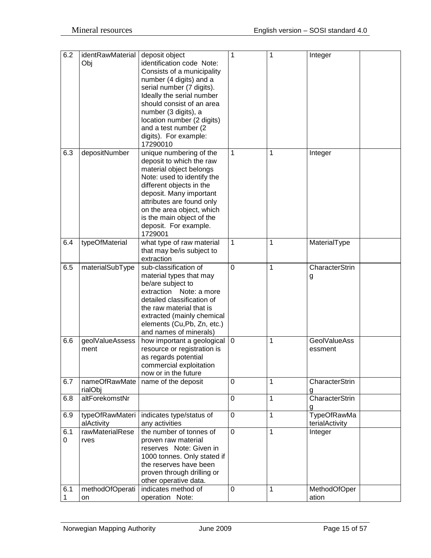| 6.2 | identRawMaterial | deposit object              | 1           | 1 | Integer             |
|-----|------------------|-----------------------------|-------------|---|---------------------|
|     | Obj              | identification code Note:   |             |   |                     |
|     |                  |                             |             |   |                     |
|     |                  | Consists of a municipality  |             |   |                     |
|     |                  | number (4 digits) and a     |             |   |                     |
|     |                  | serial number (7 digits).   |             |   |                     |
|     |                  | Ideally the serial number   |             |   |                     |
|     |                  | should consist of an area   |             |   |                     |
|     |                  | number (3 digits), a        |             |   |                     |
|     |                  | location number (2 digits)  |             |   |                     |
|     |                  | and a test number (2)       |             |   |                     |
|     |                  | digits). For example:       |             |   |                     |
|     |                  | 17290010                    |             |   |                     |
| 6.3 | depositNumber    | unique numbering of the     | 1           | 1 | Integer             |
|     |                  | deposit to which the raw    |             |   |                     |
|     |                  | material object belongs     |             |   |                     |
|     |                  | Note: used to identify the  |             |   |                     |
|     |                  | different objects in the    |             |   |                     |
|     |                  | deposit. Many important     |             |   |                     |
|     |                  | attributes are found only   |             |   |                     |
|     |                  | on the area object, which   |             |   |                     |
|     |                  | is the main object of the   |             |   |                     |
|     |                  | deposit. For example.       |             |   |                     |
|     |                  | 1729001                     |             |   |                     |
| 6.4 | typeOfMaterial   | what type of raw material   | 1           | 1 | MaterialType        |
|     |                  | that may be/is subject to   |             |   |                     |
|     |                  | extraction                  |             |   |                     |
| 6.5 | materialSubType  | sub-classification of       | 0           | 1 | CharacterStrin      |
|     |                  | material types that may     |             |   |                     |
|     |                  | be/are subject to           |             |   | g                   |
|     |                  | extraction Note: a more     |             |   |                     |
|     |                  | detailed classification of  |             |   |                     |
|     |                  |                             |             |   |                     |
|     |                  | the raw material that is    |             |   |                     |
|     |                  | extracted (mainly chemical  |             |   |                     |
|     |                  | elements (Cu,Pb, Zn, etc.)  |             |   |                     |
|     |                  | and names of minerals)      |             |   |                     |
| 6.6 | geolValueAssess  | how important a geological  | 0           | 1 | <b>GeolValueAss</b> |
|     | ment             | resource or registration is |             |   | essment             |
|     |                  | as regards potential        |             |   |                     |
|     |                  | commercial exploitation     |             |   |                     |
|     |                  | now or in the future        |             |   |                     |
| 6.7 | nameOfRawMate    | name of the deposit         | 0           | 1 | CharacterStrin      |
|     | rialObj          |                             |             |   | g                   |
| 6.8 | altForekomstNr   |                             | 0           | 1 | CharacterStrin      |
|     |                  |                             |             |   |                     |
| 6.9 | typeOfRawMateri  | indicates type/status of    | $\mathbf 0$ | 1 | <b>TypeOfRawMa</b>  |
|     | alActivity       | any activities              |             |   | terialActivity      |
| 6.1 | rawMaterialRese  | the number of tonnes of     | $\mathbf 0$ | 1 | Integer             |
| 0   | rves             | proven raw material         |             |   |                     |
|     |                  | reserves Note: Given in     |             |   |                     |
|     |                  | 1000 tonnes. Only stated if |             |   |                     |
|     |                  | the reserves have been      |             |   |                     |
|     |                  | proven through drilling or  |             |   |                     |
|     |                  | other operative data.       |             |   |                     |
| 6.1 | methodOfOperati  | indicates method of         | 0           | 1 | MethodOfOper        |
| 1   | on               | operation Note:             |             |   | ation               |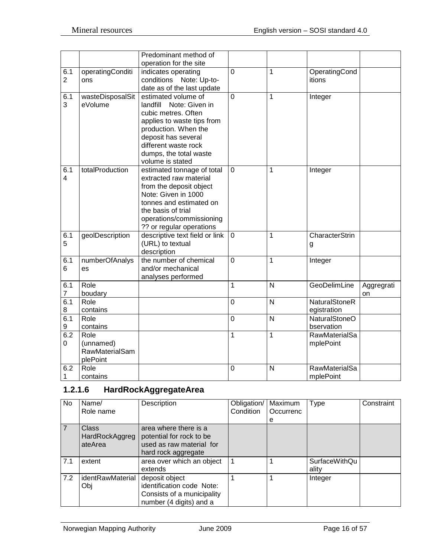|                       |                       | Predominant method of                              |                |   |                      |            |
|-----------------------|-----------------------|----------------------------------------------------|----------------|---|----------------------|------------|
|                       |                       | operation for the site                             |                |   |                      |            |
| 6.1                   | operatingConditi      | indicates operating                                | $\overline{0}$ | 1 | OperatingCond        |            |
| $\overline{2}$        | ons                   | conditions Note: Up-to-                            |                |   | itions               |            |
|                       |                       | date as of the last update                         |                |   |                      |            |
| 6.1                   | wasteDisposalSit      | estimated volume of                                | $\overline{0}$ | 1 | Integer              |            |
| 3                     | eVolume               | Note: Given in<br>landfill                         |                |   |                      |            |
|                       |                       | cubic metres. Often                                |                |   |                      |            |
|                       |                       | applies to waste tips from<br>production. When the |                |   |                      |            |
|                       |                       | deposit has several                                |                |   |                      |            |
|                       |                       | different waste rock                               |                |   |                      |            |
|                       |                       | dumps, the total waste                             |                |   |                      |            |
|                       |                       | volume is stated                                   |                |   |                      |            |
| 6.1                   | totalProduction       | estimated tonnage of total                         | $\Omega$       | 1 | Integer              |            |
| $\overline{4}$        |                       | extracted raw material                             |                |   |                      |            |
|                       |                       | from the deposit object                            |                |   |                      |            |
|                       |                       | Note: Given in 1000                                |                |   |                      |            |
|                       |                       | tonnes and estimated on                            |                |   |                      |            |
|                       |                       | the basis of trial                                 |                |   |                      |            |
|                       |                       | operations/commissioning                           |                |   |                      |            |
|                       |                       | ?? or regular operations                           |                |   |                      |            |
| 6.1                   | geolDescription       | descriptive text field or link                     | $\overline{0}$ | 1 | CharacterStrin       |            |
| 5                     |                       | (URL) to textual                                   |                |   | g                    |            |
|                       |                       | description                                        |                |   |                      |            |
| 6.1                   | numberOfAnalys        | the number of chemical                             | $\overline{0}$ | 1 | Integer              |            |
| 6                     | es                    | and/or mechanical                                  |                |   |                      |            |
|                       |                       | analyses performed                                 |                |   |                      |            |
| 6.1                   | Role                  |                                                    | 1              | N | GeoDelimLine         | Aggregrati |
| $\overline{7}$<br>6.1 | boudary<br>Role       |                                                    | 0              | N | NaturalStoneR        | on         |
| $\,8\,$               | contains              |                                                    |                |   | egistration          |            |
| 6.1                   | Role                  |                                                    | 0              | N | <b>NaturalStoneO</b> |            |
| 9                     | contains              |                                                    |                |   | bservation           |            |
| 6.2                   | Role                  |                                                    | $\mathbf{1}$   | 1 | RawMaterialSa        |            |
| $\mathbf 0$           | (unnamed)             |                                                    |                |   | mplePoint            |            |
|                       | <b>RawMaterialSam</b> |                                                    |                |   |                      |            |
|                       | plePoint              |                                                    |                |   |                      |            |
| 6.2                   | Role                  |                                                    | 0              | N | RawMaterialSa        |            |
| 1                     | contains              |                                                    |                |   | mplePoint            |            |

# <span id="page-15-0"></span>**1.2.1.6 HardRockAggregateArea**

| No             | Name/                              | Description                                                                                          | Obligation/ | Maximum   | Type                          | Constraint |
|----------------|------------------------------------|------------------------------------------------------------------------------------------------------|-------------|-----------|-------------------------------|------------|
|                | Role name                          |                                                                                                      | Condition   | Occurrenc |                               |            |
|                |                                    |                                                                                                      |             | e         |                               |            |
| $\overline{7}$ | Class<br>HardRockAggreg<br>ateArea | area where there is a<br>potential for rock to be<br>used as raw material for<br>hard rock aggregate |             |           |                               |            |
| 7.1            | extent                             | area over which an object<br>extends                                                                 |             |           | <b>SurfaceWithQu</b><br>ality |            |
| 7.2            | identRawMaterial<br>Obj            | deposit object<br>identification code Note:<br>Consists of a municipality<br>number (4 digits) and a |             |           | Integer                       |            |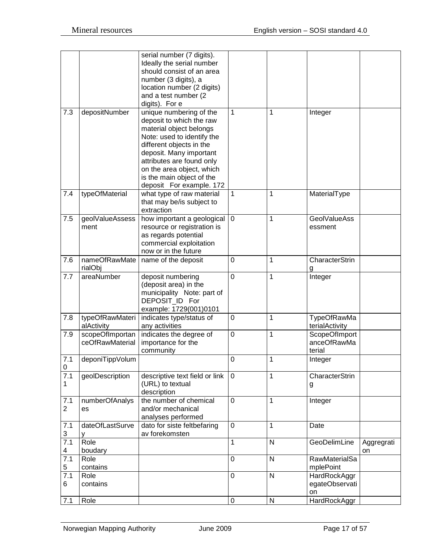|                       |                                    | serial number (7 digits).<br>Ideally the serial number<br>should consist of an area<br>number (3 digits), a                                |              |              |                                               |                  |
|-----------------------|------------------------------------|--------------------------------------------------------------------------------------------------------------------------------------------|--------------|--------------|-----------------------------------------------|------------------|
|                       |                                    | location number (2 digits)<br>and a test number (2)                                                                                        |              |              |                                               |                  |
|                       |                                    | digits). For e                                                                                                                             |              |              |                                               |                  |
| 7.3                   | depositNumber                      | unique numbering of the<br>deposit to which the raw<br>material object belongs<br>Note: used to identify the<br>different objects in the   | 1            | 1            | Integer                                       |                  |
|                       |                                    | deposit. Many important<br>attributes are found only<br>on the area object, which<br>is the main object of the<br>deposit For example. 172 |              |              |                                               |                  |
| 7.4                   | typeOfMaterial                     | what type of raw material<br>that may be/is subject to<br>extraction                                                                       | 1            | 1            | MaterialType                                  |                  |
| 7.5                   | geolValueAssess<br>ment            | how important a geological<br>resource or registration is<br>as regards potential<br>commercial exploitation<br>now or in the future       | $\mathbf 0$  | 1            | <b>GeolValueAss</b><br>essment                |                  |
| 7.6                   | nameOfRawMate<br>rialObj           | name of the deposit                                                                                                                        | 0            | 1            | CharacterStrin<br>g                           |                  |
| 7.7                   | areaNumber                         | deposit numbering<br>(deposit area) in the<br>municipality Note: part of<br>DEPOSIT_ID For<br>example: 1729(001)0101                       | 0            | 1            | Integer                                       |                  |
| 7.8                   | typeOfRawMateri<br>alActivity      | indicates type/status of<br>any activities                                                                                                 | 0            | 1            | <b>TypeOfRawMa</b><br>terialActivity          |                  |
| 7.9                   | scopeOfImportan<br>ceOfRawMaterial | indicates the degree of<br>importance for the<br>community                                                                                 | $\mathbf 0$  | 1            | <b>ScopeOfImport</b><br>anceOfRawMa<br>terial |                  |
| 7.1<br>0              | deponiTippVolum                    |                                                                                                                                            | 0            | 1            | Integer                                       |                  |
| 7.1<br>1              | geolDescription                    | descriptive text field or link<br>(URL) to textual<br>description                                                                          | $\mathbf 0$  | 1            | CharacterStrin<br>g                           |                  |
| 7.1<br>$\overline{2}$ | numberOfAnalys<br>es               | the number of chemical<br>and/or mechanical<br>analyses performed                                                                          | $\mathbf 0$  | 1            | Integer                                       |                  |
| 7.1<br>3              | dateOfLastSurve<br>۷               | dato for siste feltbefaring<br>av forekomsten                                                                                              | $\mathbf 0$  | 1            | Date                                          |                  |
| $\overline{7.1}$<br>4 | Role<br>boudary                    |                                                                                                                                            | $\mathbf{1}$ | $\mathsf{N}$ | GeoDelimLine                                  | Aggregrati<br>on |
| 7.1<br>5              | Role<br>contains                   |                                                                                                                                            | 0            | $\mathsf{N}$ | RawMaterialSa<br>mplePoint                    |                  |
| 7.1<br>6              | Role<br>contains                   |                                                                                                                                            | $\mathbf 0$  | ${\sf N}$    | HardRockAggr<br>egateObservati<br>on          |                  |
| 7.1                   | Role                               |                                                                                                                                            | 0            | ${\sf N}$    | HardRockAggr                                  |                  |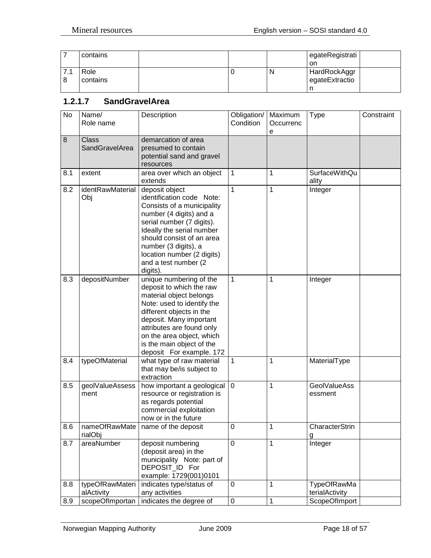|   | contains         |  |   | egateRegistrati<br>on          |  |
|---|------------------|--|---|--------------------------------|--|
| 8 | Role<br>contains |  | N | HardRockAggr<br>egateExtractio |  |

## <span id="page-17-0"></span>**1.2.1.7 SandGravelArea**

| $\overline{N}$ | Name/<br>Role name                    | Description                                                                                                                                                                                                                                                                            | Obligation/<br>Condition | Maximum<br>Occurrenc<br>e | <b>Type</b>                          | Constraint |
|----------------|---------------------------------------|----------------------------------------------------------------------------------------------------------------------------------------------------------------------------------------------------------------------------------------------------------------------------------------|--------------------------|---------------------------|--------------------------------------|------------|
| 8              | <b>Class</b><br><b>SandGravelArea</b> | demarcation of area<br>presumed to contain<br>potential sand and gravel<br>resources                                                                                                                                                                                                   |                          |                           |                                      |            |
| 8.1            | extent                                | area over which an object<br>extends                                                                                                                                                                                                                                                   | 1                        | 1                         | <b>SurfaceWithQu</b><br>ality        |            |
| 8.2            | identRawMaterial<br>Obj               | deposit object<br>identification code Note:<br>Consists of a municipality<br>number (4 digits) and a<br>serial number (7 digits).<br>Ideally the serial number<br>should consist of an area<br>number (3 digits), a<br>location number (2 digits)<br>and a test number (2<br>digits).  | 1                        | 1                         | Integer                              |            |
| 8.3            | depositNumber                         | unique numbering of the<br>deposit to which the raw<br>material object belongs<br>Note: used to identify the<br>different objects in the<br>deposit. Many important<br>attributes are found only<br>on the area object, which<br>is the main object of the<br>deposit For example. 172 | 1                        | 1                         | Integer                              |            |
| 8.4            | typeOfMaterial                        | what type of raw material<br>that may be/is subject to<br>extraction                                                                                                                                                                                                                   | 1                        | 1                         | MaterialType                         |            |
| 8.5            | geolValueAssess<br>ment               | how important a geological<br>resource or registration is<br>as regards potential<br>commercial exploitation<br>now or in the future                                                                                                                                                   | 0                        | 1                         | <b>GeolValueAss</b><br>essment       |            |
| 8.6            | rialObj                               | nameOfRawMate   name of the deposit                                                                                                                                                                                                                                                    | $\pmb{0}$                | $\mathbf 1$               | CharacterStrin<br>g                  |            |
| 8.7            | areaNumber                            | deposit numbering<br>(deposit area) in the<br>municipality Note: part of<br>DEPOSIT_ID For<br>example: 1729(001)0101                                                                                                                                                                   | 0                        | 1                         | Integer                              |            |
| 8.8            | typeOfRawMateri<br>alActivity         | indicates type/status of<br>any activities                                                                                                                                                                                                                                             | 0                        | 1                         | <b>TypeOfRawMa</b><br>terialActivity |            |
| 8.9            | scopeOfImportan                       | indicates the degree of                                                                                                                                                                                                                                                                | $\mathbf 0$              | 1                         | ScopeOfImport                        |            |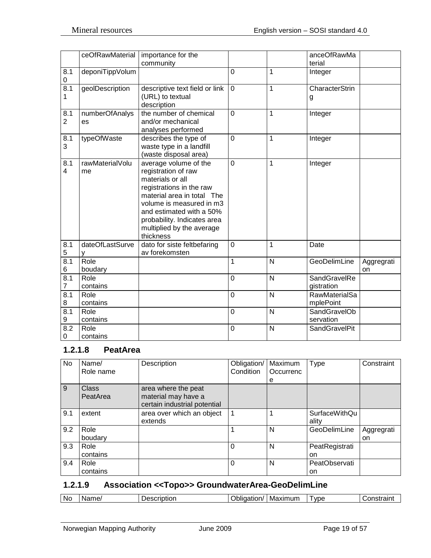|                       | ceOfRawMaterial       | importance for the<br>community                                                                                                                                                                                                                             |                |                | anceOfRawMa<br>terial             |                  |
|-----------------------|-----------------------|-------------------------------------------------------------------------------------------------------------------------------------------------------------------------------------------------------------------------------------------------------------|----------------|----------------|-----------------------------------|------------------|
| 8.1<br>0              | deponiTippVolum       |                                                                                                                                                                                                                                                             | 0              | 1              | Integer                           |                  |
| $\overline{8.1}$<br>1 | geolDescription       | descriptive text field or link<br>(URL) to textual<br>description                                                                                                                                                                                           | $\mathbf 0$    | 1              | CharacterStrin<br>g               |                  |
| 8.1<br>$\overline{2}$ | numberOfAnalys<br>es  | the number of chemical<br>and/or mechanical<br>analyses performed                                                                                                                                                                                           | $\overline{0}$ | 1              | Integer                           |                  |
| 8.1<br>3              | typeOfWaste           | describes the type of<br>waste type in a landfill<br>(waste disposal area)                                                                                                                                                                                  | $\overline{0}$ | 1              | Integer                           |                  |
| 8.1<br>4              | rawMaterialVolu<br>me | average volume of the<br>registration of raw<br>materials or all<br>registrations in the raw<br>material area in total The<br>volume is measured in m3<br>and estimated with a 50%<br>probability. Indicates area<br>multiplied by the average<br>thickness | 0              | 1              | Integer                           |                  |
| 8.1<br>5              | dateOfLastSurve<br>v  | dato for siste feltbefaring<br>av forekomsten                                                                                                                                                                                                               | 0              | 1              | Date                              |                  |
| 8.1<br>6              | Role<br>boudary       |                                                                                                                                                                                                                                                             | 1              | $\mathsf{N}$   | GeoDelimLine                      | Aggregrati<br>on |
| 8.1<br>$\overline{7}$ | Role<br>contains      |                                                                                                                                                                                                                                                             | 0              | $\overline{N}$ | SandGravelRe<br>gistration        |                  |
| 8.1<br>8              | Role<br>contains      |                                                                                                                                                                                                                                                             | 0              | $\mathsf{N}$   | <b>RawMaterialSa</b><br>mplePoint |                  |
| $\overline{8.1}$<br>9 | Role<br>contains      |                                                                                                                                                                                                                                                             | 0              | $\mathsf{N}$   | SandGravelOb<br>servation         |                  |
| 8.2<br>0              | Role<br>contains      |                                                                                                                                                                                                                                                             | $\mathbf 0$    | N              | SandGravelPit                     |                  |

# <span id="page-18-0"></span>**1.2.1.8 PeatArea**

| No. | Name/<br>Role name | Description                                                                | Obligation/<br>Condition | Maximum<br>Occurrenc<br>е | <b>Type</b>                   | Constraint       |
|-----|--------------------|----------------------------------------------------------------------------|--------------------------|---------------------------|-------------------------------|------------------|
| 9   | Class<br>PeatArea  | area where the peat<br>material may have a<br>certain industrial potential |                          |                           |                               |                  |
| 9.1 | extent             | area over which an object<br>extends                                       | $\overline{\mathbf{1}}$  | 1                         | <b>SurfaceWithQu</b><br>ality |                  |
| 9.2 | Role<br>boudary    |                                                                            |                          | N                         | GeoDelimLine                  | Aggregrati<br>on |
| 9.3 | Role<br>contains   |                                                                            | $\Omega$                 | N                         | PeatRegistrati<br>on          |                  |
| 9.4 | Role<br>contains   |                                                                            | $\Omega$                 | N                         | PeatObservati<br>on           |                  |

## <span id="page-18-1"></span>**1.2.1.9 Association <<Topo>> GroundwaterArea-GeoDelimLine**

| .No<br>Maximum<br><b>VDE</b><br>- - - - - - - - - -<br>Name <sub></sub><br>--------<br>- -<br>.<br>٦r<br>`CHDIIOL<br>юю<br>. |
|------------------------------------------------------------------------------------------------------------------------------|
|------------------------------------------------------------------------------------------------------------------------------|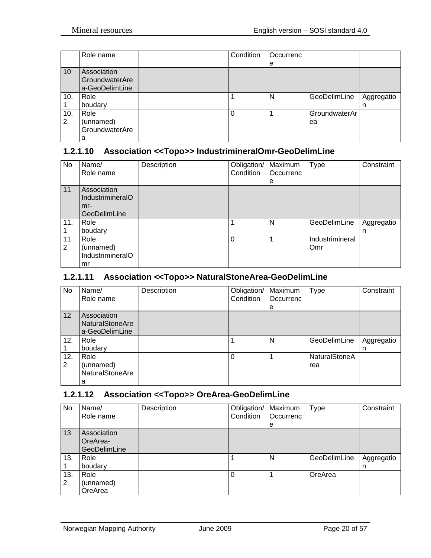|     | Role name      | Condition | Occurrenc |               |            |
|-----|----------------|-----------|-----------|---------------|------------|
|     |                |           | e         |               |            |
| 10  | Association    |           |           |               |            |
|     | GroundwaterAre |           |           |               |            |
|     | a-GeoDelimLine |           |           |               |            |
| 10. | Role           |           | N         | GeoDelimLine  | Aggregatio |
|     | boudary        |           |           |               | n          |
| 10. | Role           | $\Omega$  |           | GroundwaterAr |            |
| 2   | (unnamed)      |           |           | ea            |            |
|     | GroundwaterAre |           |           |               |            |
|     | а              |           |           |               |            |

## <span id="page-19-0"></span>**1.2.1.10 Association <<Topo>> IndustrimineralOmr-GeoDelimLine**

| No.      | Name/<br>Role name                                              | Description | Obligation/<br>Condition | Maximum<br>Occurrenc<br>e | <b>Type</b>            | Constraint      |
|----------|-----------------------------------------------------------------|-------------|--------------------------|---------------------------|------------------------|-----------------|
| 11       | Association<br>IndustrimineralO<br>$mr-$<br><b>GeoDelimLine</b> |             |                          |                           |                        |                 |
| 11.      | Role<br>boudary                                                 |             |                          | N                         | GeoDelimLine           | Aggregatio<br>n |
| 11.<br>2 | Role<br>(unnamed)<br>IndustrimineralO<br>mr                     |             | 0                        |                           | Industrimineral<br>Omr |                 |

#### <span id="page-19-1"></span>**1.2.1.11 Association <<Topo>> NaturalStoneArea-GeoDelimLine**

| No.      | Name/<br>Role name                                      | Description | Obligation/<br>Condition | Maximum<br>Occurrenc<br>е | Type                        | Constraint      |
|----------|---------------------------------------------------------|-------------|--------------------------|---------------------------|-----------------------------|-----------------|
| 12       | Association<br><b>NaturalStoneAre</b><br>a-GeoDelimLine |             |                          |                           |                             |                 |
| 12.      | Role<br>boudary                                         |             |                          | N                         | GeoDelimLine                | Aggregatio<br>n |
| 12.<br>2 | Role<br>(unnamed)<br><b>NaturalStoneAre</b><br>a        |             | $\Omega$                 |                           | <b>NaturalStoneA</b><br>rea |                 |

## <span id="page-19-2"></span>**1.2.1.12 Association <<Topo>> OreArea-GeoDelimLine**

| No       | Name/<br>Role name                      | Description | Obligation/   Maximum<br>Condition | Occurrenc<br>e | <b>Type</b>  | Constraint      |
|----------|-----------------------------------------|-------------|------------------------------------|----------------|--------------|-----------------|
| 13       | Association<br>OreArea-<br>GeoDelimLine |             |                                    |                |              |                 |
| 13.      | Role<br>boudary                         |             |                                    | N              | GeoDelimLine | Aggregatio<br>n |
| 13.<br>2 | Role<br>(unnamed)<br>OreArea            |             | 0                                  |                | OreArea      |                 |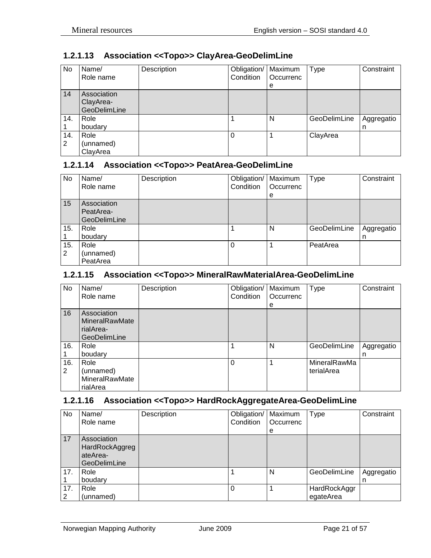<span id="page-20-0"></span>

|    |            | 1.2.1.13 Association << Topo>> ClayArea-GeoDelimLine |                              |  |
|----|------------|------------------------------------------------------|------------------------------|--|
| No | Name/      | Description                                          | Obligation/   Maximum   Type |  |
|    | TRole name |                                                      | $C$ Condition $C$ Contractor |  |

| No       | Name/<br>Role name                       | Description | Obligation/<br>Condition | Maximum<br>Occurrenc | Type         | Constraint      |
|----------|------------------------------------------|-------------|--------------------------|----------------------|--------------|-----------------|
|          |                                          |             |                          | e                    |              |                 |
| 14       | Association<br>ClayArea-<br>GeoDelimLine |             |                          |                      |              |                 |
| 14.      | Role<br>boudary                          |             |                          | N                    | GeoDelimLine | Aggregatio<br>n |
| 14.<br>2 | Role<br>(unnamed)<br>ClayArea            |             | 0                        |                      | ClayArea     |                 |

#### <span id="page-20-1"></span>**1.2.1.14 Association <<Topo>> PeatArea-GeoDelimLine**

| No       | Name/<br>Role name                              | Description | Obligation/<br>Condition | Maximum<br>Occurrenc<br>е | <b>Type</b>  | Constraint      |
|----------|-------------------------------------------------|-------------|--------------------------|---------------------------|--------------|-----------------|
| 15       | Association<br>PeatArea-<br><b>GeoDelimLine</b> |             |                          |                           |              |                 |
| 15.      | Role<br>boudary                                 |             |                          | N                         | GeoDelimLine | Aggregatio<br>n |
| 15.<br>2 | Role<br>(unnamed)<br>PeatArea                   |             |                          |                           | PeatArea     |                 |

#### <span id="page-20-2"></span>**1.2.1.15 Association <<Topo>> MineralRawMaterialArea-GeoDelimLine**

| No  | Name/                 | Description | Obligation/ | Maximum   | <b>Type</b>  | Constraint |
|-----|-----------------------|-------------|-------------|-----------|--------------|------------|
|     | Role name             |             | Condition   | Occurrenc |              |            |
|     |                       |             |             | e         |              |            |
| 16  | Association           |             |             |           |              |            |
|     | <b>MineralRawMate</b> |             |             |           |              |            |
|     | rialArea-             |             |             |           |              |            |
|     | <b>GeoDelimLine</b>   |             |             |           |              |            |
| 16. | Role                  |             |             | N         | GeoDelimLine | Aggregatio |
|     | boudary               |             |             |           |              | n          |
| 16. | Role                  |             | $\Omega$    |           | MineralRawMa |            |
| 2   | (unnamed)             |             |             |           | terialArea   |            |
|     | MineralRawMate        |             |             |           |              |            |
|     | rialArea              |             |             |           |              |            |

## <span id="page-20-3"></span>**1.2.1.16 Association <<Topo>> HardRockAggregateArea-GeoDelimLine**

| No       | Name/<br>Role name                                               | Description | Obligation/<br>Condition | Maximum<br>Occurrenc<br>e | <b>Type</b>               | Constraint      |
|----------|------------------------------------------------------------------|-------------|--------------------------|---------------------------|---------------------------|-----------------|
| 17       | Association<br>HardRockAggreg<br>ateArea-<br><b>GeoDelimLine</b> |             |                          |                           |                           |                 |
| 17.      | Role<br>boudary                                                  |             |                          | N                         | GeoDelimLine              | Aggregatio<br>n |
| 17.<br>2 | Role<br>(unnamed)                                                |             |                          |                           | HardRockAggr<br>egateArea |                 |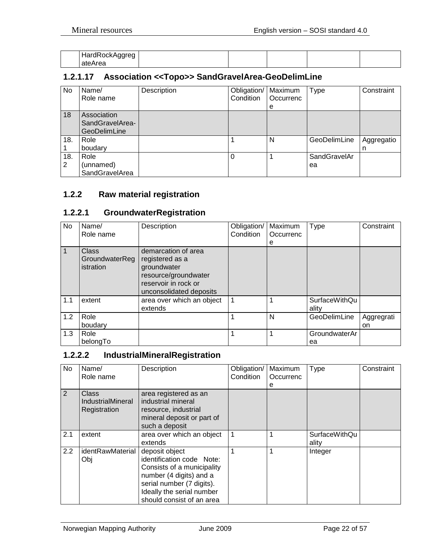| HardRockAggreg<br>.<br>ັ<br>ັ |  |  |  |
|-------------------------------|--|--|--|
| ateArea                       |  |  |  |

## <span id="page-21-0"></span>**1.2.1.17 Association <<Topo>> SandGravelArea-GeoDelimLine**

| No.      | Name/<br>Role name                                    | Description | Obligation/<br>Condition | Maximum<br>Occurrenc<br>е | Type               | Constraint      |
|----------|-------------------------------------------------------|-------------|--------------------------|---------------------------|--------------------|-----------------|
| 18       | Association<br>SandGravelArea-<br><b>GeoDelimLine</b> |             |                          |                           |                    |                 |
| 18.      | Role<br>boudary                                       |             |                          | N                         | GeoDelimLine       | Aggregatio<br>n |
| 18.<br>2 | Role<br>(unnamed)<br>SandGravelArea                   |             |                          |                           | SandGravelAr<br>ea |                 |

## <span id="page-21-1"></span>**1.2.2 Raw material registration**

# <span id="page-21-2"></span>**1.2.2.1 GroundwaterRegistration**

| No  | Name/<br>Role name                   | Description                                                                                                                      | Obligation/<br>Condition | Maximum<br>Occurrenc<br>е | <b>Type</b>                   | Constraint       |
|-----|--------------------------------------|----------------------------------------------------------------------------------------------------------------------------------|--------------------------|---------------------------|-------------------------------|------------------|
| 1   | Class<br>GroundwaterReg<br>istration | demarcation of area<br>registered as a<br>groundwater<br>resource/groundwater<br>reservoir in rock or<br>unconsolidated deposits |                          |                           |                               |                  |
| 1.1 | extent                               | area over which an object<br>extends                                                                                             |                          |                           | <b>SurfaceWithQu</b><br>ality |                  |
| 1.2 | Role<br>boudary                      |                                                                                                                                  |                          | N                         | GeoDelimLine                  | Aggregrati<br>on |
| 1.3 | Role<br>belongTo                     |                                                                                                                                  |                          |                           | GroundwaterAr<br>ea           |                  |

## <span id="page-21-3"></span>**1.2.2.2 IndustrialMineralRegistration**

| No. | Name/<br>Role name                         | Description                                                                                                                                                                                 | Obligation/<br>Condition | Maximum<br>Occurrenc<br>е | <b>Type</b>                   | Constraint |
|-----|--------------------------------------------|---------------------------------------------------------------------------------------------------------------------------------------------------------------------------------------------|--------------------------|---------------------------|-------------------------------|------------|
| 2   | Class<br>IndustrialMineral<br>Registration | area registered as an<br>industrial mineral<br>resource, industrial<br>mineral deposit or part of<br>such a deposit                                                                         |                          |                           |                               |            |
| 2.1 | extent                                     | area over which an object<br>extends                                                                                                                                                        |                          |                           | <b>SurfaceWithQu</b><br>ality |            |
| 2.2 | identRawMaterial<br>Obj                    | deposit object<br>identification code Note:<br>Consists of a municipality<br>number (4 digits) and a<br>serial number (7 digits).<br>Ideally the serial number<br>should consist of an area |                          |                           | Integer                       |            |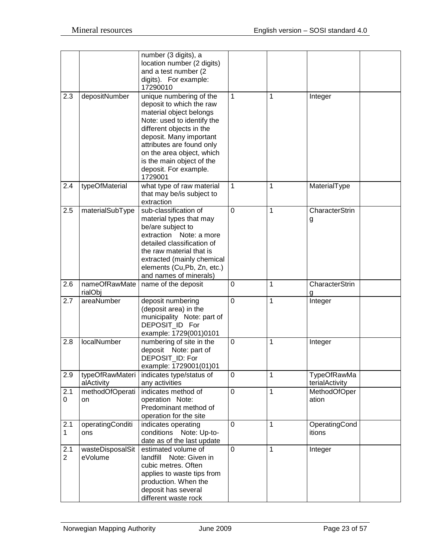|                       |                               | number (3 digits), a<br>location number (2 digits)<br>and a test number (2<br>digits). For example:<br>17290010                                                                                                                                                                                |              |              |                               |
|-----------------------|-------------------------------|------------------------------------------------------------------------------------------------------------------------------------------------------------------------------------------------------------------------------------------------------------------------------------------------|--------------|--------------|-------------------------------|
| 2.3                   | depositNumber                 | unique numbering of the<br>deposit to which the raw<br>material object belongs<br>Note: used to identify the<br>different objects in the<br>deposit. Many important<br>attributes are found only<br>on the area object, which<br>is the main object of the<br>deposit. For example.<br>1729001 | 1            | 1            | Integer                       |
| 2.4                   | typeOfMaterial                | what type of raw material<br>that may be/is subject to<br>extraction                                                                                                                                                                                                                           | $\mathbf{1}$ | 1            | MaterialType                  |
| 2.5                   | materialSubType               | sub-classification of<br>material types that may<br>be/are subject to<br>extraction<br>Note: a more<br>detailed classification of<br>the raw material that is<br>extracted (mainly chemical<br>elements (Cu, Pb, Zn, etc.)<br>and names of minerals)                                           | $\mathbf 0$  | 1            | CharacterStrin<br>g           |
| 2.6                   | nameOfRawMate<br>rialObj      | name of the deposit                                                                                                                                                                                                                                                                            | $\mathbf 0$  | 1            | <b>CharacterStrin</b><br>g    |
| 2.7                   | areaNumber                    | deposit numbering<br>(deposit area) in the<br>municipality Note: part of<br>DEPOSIT ID For<br>example: 1729(001)0101                                                                                                                                                                           | $\mathbf 0$  | 1            | Integer                       |
| 2.8                   | localNumber                   | numbering of site in the<br>deposit Note: part of<br>DEPOSIT_ID: For<br>example: 1729001(01)01                                                                                                                                                                                                 | $\mathbf 0$  | 1            | Integer                       |
| 2.9                   | typeOfRawMateri<br>alActivity | indicates type/status of<br>any activities                                                                                                                                                                                                                                                     | $\mathbf 0$  | 1            | TypeOfRawMa<br>terialActivity |
| 2.1<br>0              | methodOfOperati<br>on         | indicates method of<br>operation Note:<br>Predominant method of<br>operation for the site                                                                                                                                                                                                      | $\pmb{0}$    | 1            | MethodOfOper<br>ation         |
| 2.1<br>$\mathbf 1$    | operatingConditi<br>ons       | indicates operating<br>conditions Note: Up-to-<br>date as of the last update                                                                                                                                                                                                                   | $\mathbf 0$  | 1            | OperatingCond<br>itions       |
| 2.1<br>$\overline{2}$ | wasteDisposalSit<br>eVolume   | estimated volume of<br>landfill Note: Given in<br>cubic metres. Often<br>applies to waste tips from<br>production. When the<br>deposit has several<br>different waste rock                                                                                                                     | $\mathbf 0$  | $\mathbf{1}$ | Integer                       |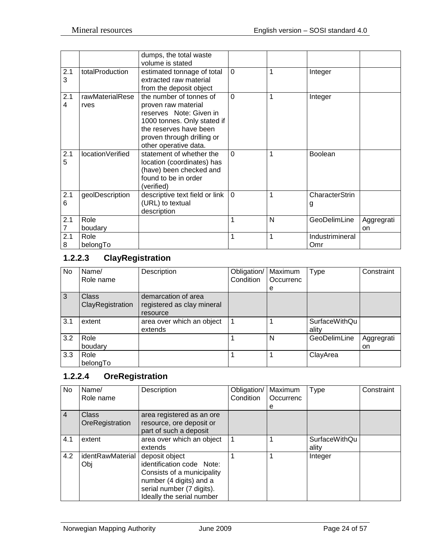|                       |                         | dumps, the total waste<br>volume is stated                                                                                                                                                |          |   |                        |                  |
|-----------------------|-------------------------|-------------------------------------------------------------------------------------------------------------------------------------------------------------------------------------------|----------|---|------------------------|------------------|
| 2.1<br>3              | totalProduction         | estimated tonnage of total<br>extracted raw material<br>from the deposit object                                                                                                           | $\Omega$ | 1 | Integer                |                  |
| 2.1<br>4              | rawMaterialRese<br>rves | the number of tonnes of<br>proven raw material<br>reserves Note: Given in<br>1000 tonnes. Only stated if<br>the reserves have been<br>proven through drilling or<br>other operative data. | $\Omega$ | 1 | Integer                |                  |
| 2.1<br>5              | locationVerified        | statement of whether the<br>location (coordinates) has<br>(have) been checked and<br>found to be in order<br>(verified)                                                                   | $\Omega$ | 1 | Boolean                |                  |
| 2.1<br>6              | geolDescription         | descriptive text field or link<br>(URL) to textual<br>description                                                                                                                         | $\Omega$ | 1 | CharacterStrin<br>g    |                  |
| 2.1<br>$\overline{7}$ | Role<br>boudary         |                                                                                                                                                                                           | 1        | N | GeoDelimLine           | Aggregrati<br>on |
| 2.1<br>8              | Role<br>belongTo        |                                                                                                                                                                                           | 1        | 1 | Industrimineral<br>Omr |                  |

# <span id="page-23-0"></span>**1.2.2.3 ClayRegistration**

| No  | Name/            | Description                | Obligation/ | Maximum   | Type                 | Constraint |
|-----|------------------|----------------------------|-------------|-----------|----------------------|------------|
|     | Role name        |                            | Condition   | Occurrenc |                      |            |
|     |                  |                            |             | e         |                      |            |
| 3   | <b>Class</b>     | demarcation of area        |             |           |                      |            |
|     | ClayRegistration | registered as clay mineral |             |           |                      |            |
|     |                  | resource                   |             |           |                      |            |
| 3.1 | extent           | area over which an object  |             |           | <b>SurfaceWithQu</b> |            |
|     |                  | extends                    |             |           | ality                |            |
| 3.2 | Role             |                            |             | N         | GeoDelimLine         | Aggregrati |
|     | boudary          |                            |             |           |                      | on         |
| 3.3 | Role             |                            |             |           | ClayArea             |            |
|     | belongTo         |                            |             |           |                      |            |

# <span id="page-23-1"></span>**1.2.2.4 OreRegistration**

| No             | Name/<br>Role name       | Description                                                                                                                                                    | Obligation/<br>Condition | Maximum<br>Occurrenc<br>е | <b>Type</b>            | Constraint |
|----------------|--------------------------|----------------------------------------------------------------------------------------------------------------------------------------------------------------|--------------------------|---------------------------|------------------------|------------|
| $\overline{4}$ | Class<br>OreRegistration | area registered as an ore<br>resource, ore deposit or<br>part of such a deposit                                                                                |                          |                           |                        |            |
| 4.1            | extent                   | area over which an object<br>extends                                                                                                                           |                          |                           | SurfaceWithQu<br>ality |            |
| 4.2            | identRawMaterial<br>Obj  | deposit object<br>identification code Note:<br>Consists of a municipality<br>number (4 digits) and a<br>serial number (7 digits).<br>Ideally the serial number |                          |                           | Integer                |            |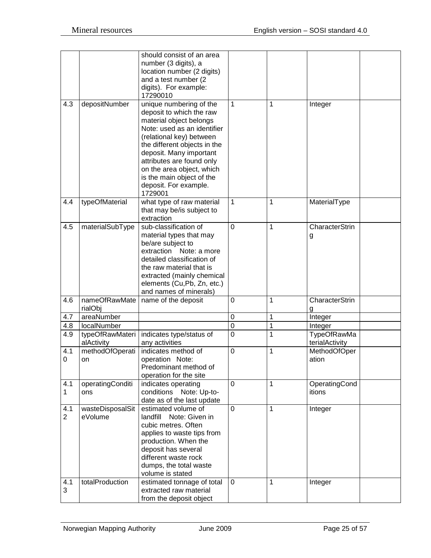|                       |                               | should consist of an area<br>number (3 digits), a<br>location number (2 digits)<br>and a test number (2)<br>digits). For example:<br>17290010                                                                                                                                                                                   |                  |              |                               |
|-----------------------|-------------------------------|---------------------------------------------------------------------------------------------------------------------------------------------------------------------------------------------------------------------------------------------------------------------------------------------------------------------------------|------------------|--------------|-------------------------------|
| 4.3                   | depositNumber                 | unique numbering of the<br>deposit to which the raw<br>material object belongs<br>Note: used as an identifier<br>(relational key) between<br>the different objects in the<br>deposit. Many important<br>attributes are found only<br>on the area object, which<br>is the main object of the<br>deposit. For example.<br>1729001 | 1                | 1            | Integer                       |
| 4.4                   | typeOfMaterial                | what type of raw material<br>that may be/is subject to<br>extraction                                                                                                                                                                                                                                                            | 1                | 1            | MaterialType                  |
| 4.5                   | materialSubType               | sub-classification of<br>material types that may<br>be/are subject to<br>extraction<br>Note: a more<br>detailed classification of<br>the raw material that is<br>extracted (mainly chemical<br>elements (Cu,Pb, Zn, etc.)<br>and names of minerals)                                                                             | $\mathbf 0$      | $\mathbf{1}$ | <b>CharacterStrin</b><br>g    |
| 4.6                   | nameOfRawMate<br>rialObj      | name of the deposit                                                                                                                                                                                                                                                                                                             | $\mathbf 0$      | 1            | CharacterStrin<br>g           |
| 4.7                   | areaNumber                    |                                                                                                                                                                                                                                                                                                                                 | $\boldsymbol{0}$ | 1            | Integer                       |
| 4.8                   | localNumber                   |                                                                                                                                                                                                                                                                                                                                 | $\boldsymbol{0}$ | $\mathbf 1$  | Integer                       |
| 4.9                   | typeOfRawMateri<br>alActivity | indicates type/status of<br>any activities                                                                                                                                                                                                                                                                                      | $\overline{0}$   | $\mathbf{1}$ | TypeOfRawMa<br>terialActivity |
| 4.1<br>0              | methodOfOperati<br>on         | indicates method of<br>operation Note:<br>Predominant method of<br>operation for the site                                                                                                                                                                                                                                       | $\mathbf 0$      | $\mathbf{1}$ | MethodOfOper<br>ation         |
| 4.1<br>$\mathbf{1}$   | operatingConditi<br>ons       | indicates operating<br>conditions Note: Up-to-<br>date as of the last update                                                                                                                                                                                                                                                    | 0                | $\mathbf{1}$ | OperatingCond<br>itions       |
| 4.1<br>$\overline{2}$ | wasteDisposalSit<br>eVolume   | estimated volume of<br>landfill<br>Note: Given in<br>cubic metres. Often<br>applies to waste tips from<br>production. When the<br>deposit has several<br>different waste rock<br>dumps, the total waste<br>volume is stated                                                                                                     | $\mathbf 0$      | $\mathbf{1}$ | Integer                       |
| 4.1<br>3              | totalProduction               | estimated tonnage of total<br>extracted raw material<br>from the deposit object                                                                                                                                                                                                                                                 | $\mathbf 0$      | $\mathbf{1}$ | Integer                       |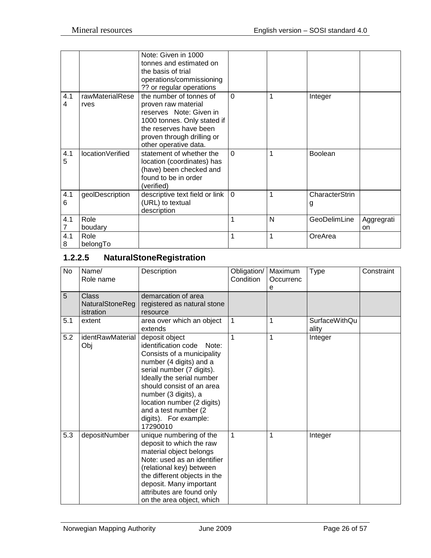|          |                         | Note: Given in 1000<br>tonnes and estimated on<br>the basis of trial<br>operations/commissioning<br>?? or regular operations                                                              |          |   |                     |                  |
|----------|-------------------------|-------------------------------------------------------------------------------------------------------------------------------------------------------------------------------------------|----------|---|---------------------|------------------|
| 4.1<br>4 | rawMaterialRese<br>rves | the number of tonnes of<br>proven raw material<br>reserves Note: Given in<br>1000 tonnes. Only stated if<br>the reserves have been<br>proven through drilling or<br>other operative data. | $\Omega$ | 1 | Integer             |                  |
| 4.1<br>5 | locationVerified        | statement of whether the<br>location (coordinates) has<br>(have) been checked and<br>found to be in order<br>(verified)                                                                   | $\Omega$ | 1 | <b>Boolean</b>      |                  |
| 4.1<br>6 | geolDescription         | descriptive text field or link<br>(URL) to textual<br>description                                                                                                                         | $\Omega$ | 1 | CharacterStrin<br>g |                  |
| 4.1      | Role<br>boudary         |                                                                                                                                                                                           | 1        | N | GeoDelimLine        | Aggregrati<br>on |
| 4.1<br>8 | Role<br>belongTo        |                                                                                                                                                                                           | 1        | 1 | OreArea             |                  |

# <span id="page-25-0"></span>**1.2.2.5 NaturalStoneRegistration**

| No  | Name/<br>Role name                    | Description                                                                                                                                                                                                                                                                                                        | Obligation/<br>Condition | Maximum<br>Occurrenc<br>e | Type                          | Constraint |
|-----|---------------------------------------|--------------------------------------------------------------------------------------------------------------------------------------------------------------------------------------------------------------------------------------------------------------------------------------------------------------------|--------------------------|---------------------------|-------------------------------|------------|
| 5   | Class<br>NaturalStoneReg<br>istration | demarcation of area<br>registered as natural stone<br>resource                                                                                                                                                                                                                                                     |                          |                           |                               |            |
| 5.1 | extent                                | area over which an object<br>extends                                                                                                                                                                                                                                                                               | 1                        | 1                         | <b>SurfaceWithQu</b><br>ality |            |
| 5.2 | identRawMaterial<br>Obj               | deposit object<br>identification code<br>Note:<br>Consists of a municipality<br>number (4 digits) and a<br>serial number (7 digits).<br>Ideally the serial number<br>should consist of an area<br>number (3 digits), a<br>location number (2 digits)<br>and a test number (2)<br>digits). For example:<br>17290010 | 1                        | 1                         | Integer                       |            |
| 5.3 | depositNumber                         | unique numbering of the<br>deposit to which the raw<br>material object belongs<br>Note: used as an identifier<br>(relational key) between<br>the different objects in the<br>deposit. Many important<br>attributes are found only<br>on the area object, which                                                     | $\mathbf{1}$             | 1                         | Integer                       |            |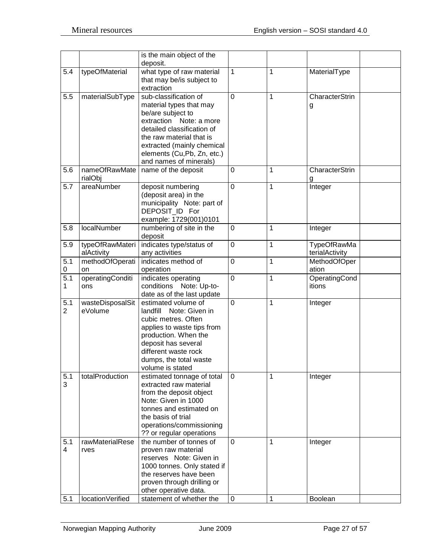|                  |                       | is the main object of the<br>deposit.                 |             |   |                    |
|------------------|-----------------------|-------------------------------------------------------|-------------|---|--------------------|
| 5.4              | typeOfMaterial        | what type of raw material                             | 1           | 1 | MaterialType       |
|                  |                       |                                                       |             |   |                    |
|                  |                       | that may be/is subject to<br>extraction               |             |   |                    |
|                  |                       |                                                       |             |   |                    |
| 5.5              | materialSubType       | sub-classification of                                 | 0           | 1 | CharacterStrin     |
|                  |                       | material types that may                               |             |   | g                  |
|                  |                       | be/are subject to                                     |             |   |                    |
|                  |                       | extraction Note: a more                               |             |   |                    |
|                  |                       | detailed classification of                            |             |   |                    |
|                  |                       | the raw material that is                              |             |   |                    |
|                  |                       | extracted (mainly chemical                            |             |   |                    |
|                  |                       | elements (Cu,Pb, Zn, etc.)<br>and names of minerals)  |             |   |                    |
| 5.6              | nameOfRawMate         | name of the deposit                                   | $\mathbf 0$ | 1 | CharacterStrin     |
|                  |                       |                                                       |             |   |                    |
| 5.7              | rialObj<br>areaNumber |                                                       | $\mathbf 0$ | 1 | g                  |
|                  |                       | deposit numbering<br>(deposit area) in the            |             |   | Integer            |
|                  |                       | municipality Note: part of                            |             |   |                    |
|                  |                       | DEPOSIT_ID For                                        |             |   |                    |
|                  |                       | example: 1729(001)0101                                |             |   |                    |
| 5.8              | localNumber           | numbering of site in the                              | 0           | 1 | Integer            |
|                  |                       | deposit                                               |             |   |                    |
| 5.9              | typeOfRawMateri       | indicates type/status of                              | $\mathbf 0$ | 1 | <b>TypeOfRawMa</b> |
|                  | alActivity            | any activities                                        |             |   | terialActivity     |
| 5.1              | methodOfOperati       | indicates method of                                   | $\mathbf 0$ | 1 | MethodOfOper       |
| 0                | on                    | operation                                             |             |   | ation              |
| $\overline{5.1}$ | operatingConditi      | indicates operating                                   | $\mathbf 0$ | 1 | OperatingCond      |
| 1                | ons                   | conditions Note: Up-to-                               |             |   | itions             |
|                  |                       | date as of the last update                            |             |   |                    |
| 5.1              | wasteDisposalSit      | estimated volume of                                   | 0           | 1 | Integer            |
| $\overline{2}$   | eVolume               | landfill<br>Note: Given in                            |             |   |                    |
|                  |                       | cubic metres. Often                                   |             |   |                    |
|                  |                       | applies to waste tips from                            |             |   |                    |
|                  |                       | production. When the                                  |             |   |                    |
|                  |                       | deposit has several                                   |             |   |                    |
|                  |                       | different waste rock                                  |             |   |                    |
|                  |                       | dumps, the total waste                                |             |   |                    |
|                  |                       | volume is stated                                      |             |   |                    |
| 5.1              | totalProduction       | estimated tonnage of total                            | $\Omega$    | 1 | Integer            |
| 3                |                       | extracted raw material                                |             |   |                    |
|                  |                       | from the deposit object                               |             |   |                    |
|                  |                       | Note: Given in 1000                                   |             |   |                    |
|                  |                       | tonnes and estimated on                               |             |   |                    |
|                  |                       | the basis of trial                                    |             |   |                    |
|                  |                       | operations/commissioning                              |             |   |                    |
|                  |                       | ?? or regular operations                              |             |   |                    |
| 5.1              | rawMaterialRese       | the number of tonnes of                               | 0           | 1 | Integer            |
| 4                | rves                  | proven raw material                                   |             |   |                    |
|                  |                       | reserves Note: Given in                               |             |   |                    |
|                  |                       | 1000 tonnes. Only stated if<br>the reserves have been |             |   |                    |
|                  |                       |                                                       |             |   |                    |
|                  |                       | proven through drilling or<br>other operative data.   |             |   |                    |
| 5.1              | locationVerified      | statement of whether the                              | $\mathbf 0$ | 1 | Boolean            |
|                  |                       |                                                       |             |   |                    |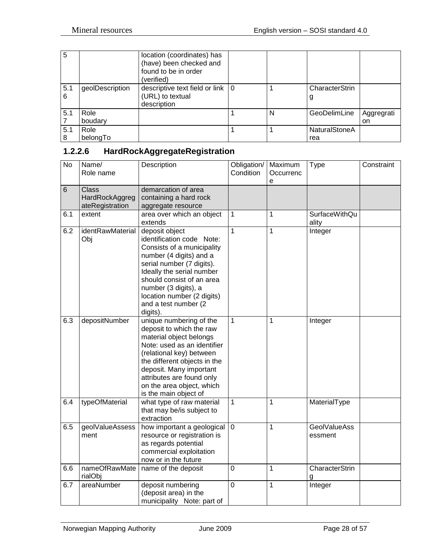| 5        |                  | location (coordinates) has<br>(have) been checked and<br>found to be in order<br>(verified) |   |                             |                  |
|----------|------------------|---------------------------------------------------------------------------------------------|---|-----------------------------|------------------|
| 5.1<br>6 | geolDescription  | descriptive text field or link   0<br>(URL) to textual<br>description                       |   | CharacterStrin<br>g         |                  |
| 5.1      | Role<br>boudary  |                                                                                             | N | GeoDelimLine                | Aggregrati<br>on |
| 5.1<br>8 | Role<br>belongTo |                                                                                             |   | <b>NaturalStoneA</b><br>rea |                  |

# <span id="page-27-0"></span>**1.2.2.6 HardRockAggregateRegistration**

| $\overline{N}$ | Name/<br>Role name                                | Description                                                                                                                                                                                                                                                                             | Obligation/<br>Condition | Maximum<br>Occurrenc<br>e | <b>Type</b>                    | Constraint |
|----------------|---------------------------------------------------|-----------------------------------------------------------------------------------------------------------------------------------------------------------------------------------------------------------------------------------------------------------------------------------------|--------------------------|---------------------------|--------------------------------|------------|
| 6              | <b>Class</b><br>HardRockAggreg<br>ateRegistration | demarcation of area<br>containing a hard rock<br>aggregate resource                                                                                                                                                                                                                     |                          |                           |                                |            |
| 6.1            | extent                                            | area over which an object<br>extends                                                                                                                                                                                                                                                    | $\mathbf{1}$             | 1                         | <b>SurfaceWithQu</b><br>ality  |            |
| 6.2            | identRawMaterial<br>Obj                           | deposit object<br>identification code Note:<br>Consists of a municipality<br>number (4 digits) and a<br>serial number (7 digits).<br>Ideally the serial number<br>should consist of an area<br>number (3 digits), a<br>location number (2 digits)<br>and a test number (2<br>digits).   | $\mathbf{1}$             | $\overline{1}$            | Integer                        |            |
| 6.3            | depositNumber                                     | unique numbering of the<br>deposit to which the raw<br>material object belongs<br>Note: used as an identifier<br>(relational key) between<br>the different objects in the<br>deposit. Many important<br>attributes are found only<br>on the area object, which<br>is the main object of | $\overline{1}$           | 1                         | Integer                        |            |
| 6.4            | typeOfMaterial                                    | what type of raw material<br>that may be/is subject to<br>extraction                                                                                                                                                                                                                    | $\mathbf{1}$             | 1                         | MaterialType                   |            |
| 6.5            | geolValueAssess<br>ment                           | how important a geological<br>resource or registration is<br>as regards potential<br>commercial exploitation<br>now or in the future                                                                                                                                                    | $\mathbf{0}$             | $\overline{1}$            | <b>GeolValueAss</b><br>essment |            |
| 6.6            | nameOfRawMate<br>rialObj                          | name of the deposit                                                                                                                                                                                                                                                                     | $\overline{0}$           | 1                         | <b>CharacterStrin</b><br>g     |            |
| 6.7            | areaNumber                                        | deposit numbering<br>(deposit area) in the<br>municipality Note: part of                                                                                                                                                                                                                | $\overline{0}$           | 1                         | Integer                        |            |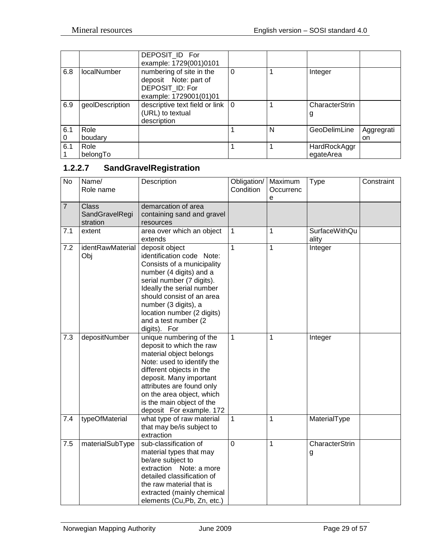|          |                 | DEPOSIT ID For<br>example: 1729(001)0101                                                       |          |   |                     |            |
|----------|-----------------|------------------------------------------------------------------------------------------------|----------|---|---------------------|------------|
| 6.8      | localNumber     | numbering of site in the<br>deposit Note: part of<br>DEPOSIT ID: For<br>example: 1729001(01)01 | $\Omega$ |   | Integer             |            |
| 6.9      | geolDescription | descriptive text field or link $\vert 0 \rangle$<br>(URL) to textual<br>description            |          |   | CharacterStrin<br>g |            |
| 6.1      | Role            |                                                                                                |          | N | GeoDelimLine        | Aggregrati |
| $\Omega$ | boudary         |                                                                                                |          |   |                     | on         |
| 6.1      | Role            |                                                                                                |          |   | HardRockAggr        |            |
|          | belongTo        |                                                                                                |          |   | egateArea           |            |

# <span id="page-28-0"></span>**1.2.2.7 SandGravelRegistration**

| $\overline{N}$ | Name/<br>Role name                         | Description                                                                                                                                                                                                                                                                               | Obligation/<br>Condition | Maximum<br>Occurrenc<br>е | <b>Type</b>                   | Constraint |
|----------------|--------------------------------------------|-------------------------------------------------------------------------------------------------------------------------------------------------------------------------------------------------------------------------------------------------------------------------------------------|--------------------------|---------------------------|-------------------------------|------------|
| $\overline{7}$ | <b>Class</b><br>SandGravelRegi<br>stration | demarcation of area<br>containing sand and gravel<br>resources                                                                                                                                                                                                                            |                          |                           |                               |            |
| 7.1            | extent                                     | area over which an object<br>extends                                                                                                                                                                                                                                                      | $\mathbf{1}$             | 1                         | <b>SurfaceWithQu</b><br>ality |            |
| 7.2            | identRawMaterial<br>Obj                    | deposit object<br>identification code Note:<br>Consists of a municipality<br>number (4 digits) and a<br>serial number (7 digits).<br>Ideally the serial number<br>should consist of an area<br>number (3 digits), a<br>location number (2 digits)<br>and a test number (2<br>digits). For | $\mathbf{1}$             | 1                         | Integer                       |            |
| 7.3            | depositNumber                              | unique numbering of the<br>deposit to which the raw<br>material object belongs<br>Note: used to identify the<br>different objects in the<br>deposit. Many important<br>attributes are found only<br>on the area object, which<br>is the main object of the<br>deposit For example. 172    | $\mathbf{1}$             | 1                         | Integer                       |            |
| 7.4            | typeOfMaterial                             | what type of raw material<br>that may be/is subject to<br>extraction                                                                                                                                                                                                                      | $\mathbf{1}$             | 1                         | MaterialType                  |            |
| 7.5            | materialSubType                            | sub-classification of<br>material types that may<br>be/are subject to<br>extraction Note: a more<br>detailed classification of<br>the raw material that is<br>extracted (mainly chemical<br>elements (Cu,Pb, Zn, etc.)                                                                    | $\overline{0}$           | 1                         | CharacterStrin<br>g           |            |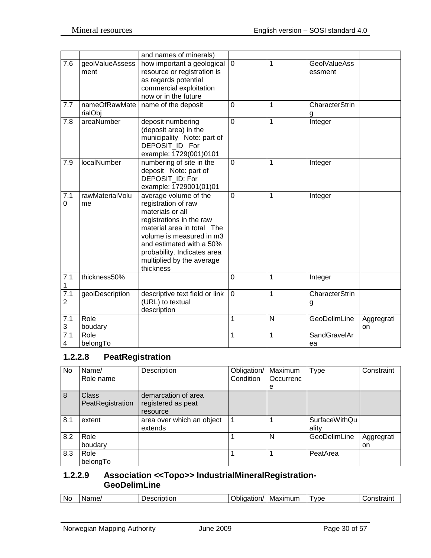|                                 |                          | and names of minerals)                                                                                                                                                                                                                                      |                |   |                                |                  |
|---------------------------------|--------------------------|-------------------------------------------------------------------------------------------------------------------------------------------------------------------------------------------------------------------------------------------------------------|----------------|---|--------------------------------|------------------|
| 7.6                             | geolValueAssess<br>ment  | how important a geological<br>resource or registration is<br>as regards potential<br>commercial exploitation<br>now or in the future                                                                                                                        | $\mathbf 0$    | 1 | <b>GeolValueAss</b><br>essment |                  |
| 7.7                             | nameOfRawMate<br>rialObj | name of the deposit                                                                                                                                                                                                                                         | $\overline{0}$ | 1 | CharacterStrin<br>g            |                  |
| 7.8                             | areaNumber               | deposit numbering<br>(deposit area) in the<br>municipality Note: part of<br>DEPOSIT_ID For<br>example: 1729(001)0101                                                                                                                                        | $\overline{0}$ | 1 | Integer                        |                  |
| 7.9                             | localNumber              | numbering of site in the<br>deposit Note: part of<br>DEPOSIT ID: For<br>example: 1729001(01)01                                                                                                                                                              | $\mathbf 0$    | 1 | Integer                        |                  |
| 7.1<br>0                        | rawMaterialVolu<br>me    | average volume of the<br>registration of raw<br>materials or all<br>registrations in the raw<br>material area in total The<br>volume is measured in m3<br>and estimated with a 50%<br>probability. Indicates area<br>multiplied by the average<br>thickness | $\overline{0}$ | 1 | Integer                        |                  |
| 7.1<br>1                        | thickness50%             |                                                                                                                                                                                                                                                             | $\mathbf 0$    | 1 | Integer                        |                  |
| 7.1<br>$\overline{2}$           | geolDescription          | descriptive text field or link<br>(URL) to textual<br>description                                                                                                                                                                                           | $\mathbf 0$    | 1 | CharacterStrin<br>g            |                  |
| 7.1<br>3                        | Role<br>boudary          |                                                                                                                                                                                                                                                             | 1              | N | GeoDelimLine                   | Aggregrati<br>on |
| 7.1<br>$\overline{\mathcal{A}}$ | Role<br>belongTo         |                                                                                                                                                                                                                                                             | 1              | 1 | SandGravelAr<br>ea             |                  |

#### <span id="page-29-0"></span>**1.2.2.8 PeatRegistration**

| No  | Name/<br>Role name               | Description                                           | Obligation/<br>Condition | Maximum<br>Occurrenc | <b>Type</b>            | Constraint       |
|-----|----------------------------------|-------------------------------------------------------|--------------------------|----------------------|------------------------|------------------|
|     |                                  |                                                       |                          | e                    |                        |                  |
| 8   | <b>Class</b><br>PeatRegistration | demarcation of area<br>registered as peat<br>resource |                          |                      |                        |                  |
| 8.1 | extent                           | area over which an object<br>extends                  |                          |                      | SurfaceWithQu<br>ality |                  |
| 8.2 | Role<br>boudary                  |                                                       |                          | N                    | GeoDelimLine           | Aggregrati<br>on |
| 8.3 | Role<br>belongTo                 |                                                       |                          |                      | PeatArea               |                  |

#### <span id="page-29-1"></span>**1.2.2.9 Association <<Topo>> IndustrialMineralRegistration-GeoDelimLine**

| <b>No</b><br>vpe<br>Maximum<br>'ame/<br>notro ini<br>. <b>.</b><br>-----<br>.<br>∼<br>- --<br>N<br>criptior<br>ation,<br>эπ<br>. C ) T<br>1. 21 |
|-------------------------------------------------------------------------------------------------------------------------------------------------|
|-------------------------------------------------------------------------------------------------------------------------------------------------|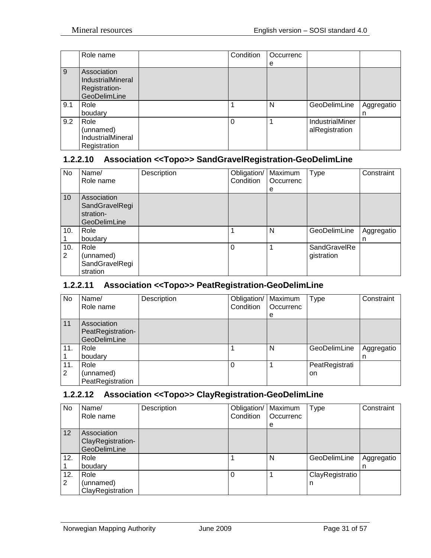|     | Role name                                                                | Condition | Occurrenc |                                   |                 |
|-----|--------------------------------------------------------------------------|-----------|-----------|-----------------------------------|-----------------|
|     |                                                                          |           | е         |                                   |                 |
| 9   | Association<br><b>IndustrialMineral</b><br>Registration-<br>GeoDelimLine |           |           |                                   |                 |
| 9.1 | Role<br>boudary                                                          |           | N         | GeoDelimLine                      | Aggregatio<br>n |
| 9.2 | Role<br>(unnamed)<br><b>IndustrialMineral</b><br>Registration            | 0         |           | IndustrialMiner<br>alRegistration |                 |

## <span id="page-30-0"></span>**1.2.2.10 Association <<Topo>> SandGravelRegistration-GeoDelimLine**

| No              | Name/          | Description | Obligation/ | Maximum   | Type         | Constraint |
|-----------------|----------------|-------------|-------------|-----------|--------------|------------|
|                 | Role name      |             | Condition   | Occurrenc |              |            |
|                 |                |             |             | е         |              |            |
| 10 <sup>1</sup> | Association    |             |             |           |              |            |
|                 | SandGravelRegi |             |             |           |              |            |
|                 | stration-      |             |             |           |              |            |
|                 | GeoDelimLine   |             |             |           |              |            |
| 10.             | Role           |             | 1           | N         | GeoDelimLine | Aggregatio |
|                 | boudary        |             |             |           |              | n          |
| 10.             | Role           |             | $\Omega$    | 1         | SandGravelRe |            |
| 2               | (unnamed)      |             |             |           | gistration   |            |
|                 | SandGravelRegi |             |             |           |              |            |
|                 | stration       |             |             |           |              |            |

## <span id="page-30-1"></span>**1.2.2.11 Association <<Topo>> PeatRegistration-GeoDelimLine**

| No       | Name/<br>Role name                               | Description | Obligation/   Maximum<br>Condition | Occurrenc<br>e | Type                 | Constraint      |
|----------|--------------------------------------------------|-------------|------------------------------------|----------------|----------------------|-----------------|
| 11       | Association<br>PeatRegistration-<br>GeoDelimLine |             |                                    |                |                      |                 |
| 11.      | Role<br>boudary                                  |             |                                    | N              | GeoDelimLine         | Aggregatio<br>n |
| 11.<br>2 | Role<br>(unnamed)<br>PeatRegistration            |             |                                    |                | PeatRegistrati<br>on |                 |

## <span id="page-30-2"></span>**1.2.2.12 Association <<Topo>> ClayRegistration-GeoDelimLine**

| No       | Name/<br>Role name                               | Description | Obligation/   Maximum<br>Condition | Occurrenc<br>e | <b>Type</b>          | Constraint      |
|----------|--------------------------------------------------|-------------|------------------------------------|----------------|----------------------|-----------------|
| 12       | Association<br>ClayRegistration-<br>GeoDelimLine |             |                                    |                |                      |                 |
| 12.      | Role<br>boudary                                  |             |                                    | N              | GeoDelimLine         | Aggregatio<br>n |
| 12.<br>2 | Role<br>(unnamed)<br>ClayRegistration            |             |                                    |                | ClayRegistratio<br>n |                 |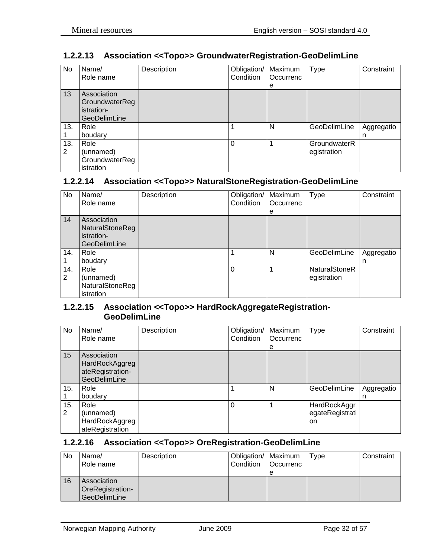## <span id="page-31-0"></span>**1.2.2.13 Association <<Topo>> GroundwaterRegistration-GeoDelimLine**

| No       | Name/<br>Role name                                          | Description | Obligation/<br>Condition | Maximum<br>Occurrenc<br>е | <b>Type</b>                 | Constraint      |
|----------|-------------------------------------------------------------|-------------|--------------------------|---------------------------|-----------------------------|-----------------|
| 13       | Association<br>GroundwaterReg<br>istration-<br>GeoDelimLine |             |                          |                           |                             |                 |
| 13.      | Role<br>boudary                                             |             |                          | N                         | GeoDelimLine                | Aggregatio<br>n |
| 13.<br>2 | Role<br>(unnamed)<br>GroundwaterReg<br>istration            |             | $\Omega$                 |                           | GroundwaterR<br>egistration |                 |

## <span id="page-31-1"></span>**1.2.2.14 Association <<Topo>> NaturalStoneRegistration-GeoDelimLine**

| No.      | Name/<br>Role name                                                         | Description | Obligation/<br>Condition | Maximum<br>Occurrenc | <b>Type</b>                         | Constraint      |
|----------|----------------------------------------------------------------------------|-------------|--------------------------|----------------------|-------------------------------------|-----------------|
|          |                                                                            |             |                          | e                    |                                     |                 |
| 14       | Association<br><b>NaturalStoneReg</b><br>istration-<br><b>GeoDelimLine</b> |             |                          |                      |                                     |                 |
| 14.      | Role<br>boudary                                                            |             |                          | N                    | GeoDelimLine                        | Aggregatio<br>n |
| 14.<br>2 | Role<br>(unnamed)<br>NaturalStoneReg<br>istration                          |             | $\Omega$                 |                      | <b>NaturalStoneR</b><br>egistration |                 |

#### <span id="page-31-2"></span>**1.2.2.15 Association <<Topo>> HardRockAggregateRegistration-GeoDelimLine**

| No       | Name/<br>Role name                                                | Description | Obligation/<br>Condition | Maximum<br>Occurrenc | <b>Type</b>                           | Constraint      |
|----------|-------------------------------------------------------------------|-------------|--------------------------|----------------------|---------------------------------------|-----------------|
|          |                                                                   |             |                          | е                    |                                       |                 |
| 15       | Association<br>HardRockAggreg<br>ateRegistration-<br>GeoDelimLine |             |                          |                      |                                       |                 |
| 15.      | Role<br>boudary                                                   |             |                          | N                    | GeoDelimLine                          | Aggregatio<br>n |
| 15.<br>2 | Role<br>(unnamed)<br>HardRockAggreg<br>ateRegistration            |             | 0                        |                      | HardRockAggr<br>egateRegistrati<br>on |                 |

#### <span id="page-31-3"></span>**1.2.2.16 Association <<Topo>> OreRegistration-GeoDelimLine**

| No | Name/<br>Role name                              | Description | Obligation/   Maximum<br>Condition | <b>Occurrenc</b><br>е | Type | Constraint |
|----|-------------------------------------------------|-------------|------------------------------------|-----------------------|------|------------|
| 16 | Association<br>OreRegistration-<br>GeoDelimLine |             |                                    |                       |      |            |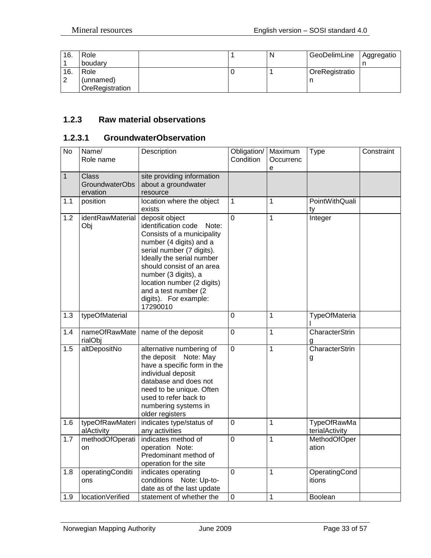| 16. | Role            | N | GeoDelimLine   | Aggregatio |
|-----|-----------------|---|----------------|------------|
|     | boudary         |   |                |            |
| 16. | Role            |   | OreRegistratio |            |
| ົ   | (unnamed)       |   |                |            |
|     | OreRegistration |   |                |            |

## <span id="page-32-0"></span>**1.2.3 Raw material observations**

## <span id="page-32-1"></span>**1.2.3.1 GroundwaterObservation**

| $\overline{N}$ | Name/<br>Role name                                | Description                                                                                                                                                                                                                                                                                                        | Obligation/<br>Condition | Maximum<br>Occurrenc<br>e | <b>Type</b>                          | Constraint |
|----------------|---------------------------------------------------|--------------------------------------------------------------------------------------------------------------------------------------------------------------------------------------------------------------------------------------------------------------------------------------------------------------------|--------------------------|---------------------------|--------------------------------------|------------|
| $\mathbf{1}$   | <b>Class</b><br><b>GroundwaterObs</b><br>ervation | site providing information<br>about a groundwater<br>resource                                                                                                                                                                                                                                                      |                          |                           |                                      |            |
| 1.1            | position                                          | location where the object<br>exists                                                                                                                                                                                                                                                                                | $\overline{1}$           | 1                         | PointWithQuali<br>tv                 |            |
| 1.2            | identRawMaterial<br>Obj                           | deposit object<br>identification code<br>Note:<br>Consists of a municipality<br>number (4 digits) and a<br>serial number (7 digits).<br>Ideally the serial number<br>should consist of an area<br>number (3 digits), a<br>location number (2 digits)<br>and a test number (2)<br>digits). For example:<br>17290010 | $\overline{0}$           | $\mathbf{1}$              | Integer                              |            |
| 1.3            | typeOfMaterial                                    |                                                                                                                                                                                                                                                                                                                    | $\overline{0}$           | 1                         | TypeOfMateria                        |            |
| 1.4            | nameOfRawMate<br>rialObj                          | name of the deposit                                                                                                                                                                                                                                                                                                | $\mathbf 0$              | 1                         | CharacterStrin<br>g                  |            |
| 1.5            | altDepositNo                                      | alternative numbering of<br>the deposit Note: May<br>have a specific form in the<br>individual deposit<br>database and does not<br>need to be unique. Often<br>used to refer back to<br>numbering systems in<br>older registers                                                                                    | $\overline{0}$           | 1                         | <b>CharacterStrin</b><br>g           |            |
| 1.6            | typeOfRawMateri<br>alActivity                     | indicates type/status of<br>any activities                                                                                                                                                                                                                                                                         | $\mathbf 0$              | 1                         | <b>TypeOfRawMa</b><br>terialActivity |            |
| 1.7            | methodOfOperati<br>on                             | indicates method of<br>operation Note:<br>Predominant method of<br>operation for the site                                                                                                                                                                                                                          | $\mathbf 0$              | $\mathbf{1}$              | MethodOfOper<br>ation                |            |
| 1.8            | operatingConditi<br>ons                           | indicates operating<br>conditions Note: Up-to-<br>date as of the last update                                                                                                                                                                                                                                       | $\overline{0}$           | 1                         | OperatingCond<br>itions              |            |
| 1.9            | locationVerified                                  | statement of whether the                                                                                                                                                                                                                                                                                           | $\mathbf 0$              | $\mathbf 1$               | Boolean                              |            |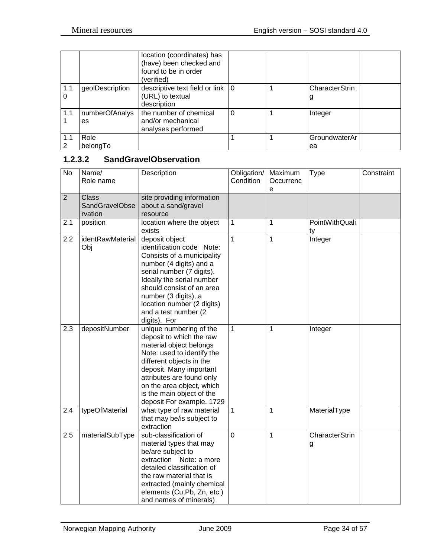|          |                      | location (coordinates) has<br>(have) been checked and<br>found to be in order<br>(verified) |          |                     |
|----------|----------------------|---------------------------------------------------------------------------------------------|----------|---------------------|
| 1.1<br>0 | geolDescription      | descriptive text field or link $\vert 0 \rangle$<br>(URL) to textual<br>description         |          | CharacterStrin<br>g |
| 1.1      | numberOfAnalys<br>es | the number of chemical<br>and/or mechanical<br>analyses performed                           | $\Omega$ | Integer             |
| 1.1<br>2 | Role<br>belongTo     |                                                                                             |          | GroundwaterAr<br>ea |

## <span id="page-33-0"></span>**1.2.3.2 SandGravelObservation**

| $\overline{N}$ o | Name/<br>Role name                               | Description                                                                                                                                                                                                                                                                                | Obligation/<br>Condition | Maximum<br>Occurrenc<br>e | <b>Type</b>          | Constraint |
|------------------|--------------------------------------------------|--------------------------------------------------------------------------------------------------------------------------------------------------------------------------------------------------------------------------------------------------------------------------------------------|--------------------------|---------------------------|----------------------|------------|
| $\overline{2}$   | <b>Class</b><br><b>SandGravelObse</b><br>rvation | site providing information<br>about a sand/gravel<br>resource                                                                                                                                                                                                                              |                          |                           |                      |            |
| 2.1              | position                                         | location where the object<br>exists                                                                                                                                                                                                                                                        | 1                        | 1                         | PointWithQuali<br>ty |            |
| 2.2              | identRawMaterial<br>Obj                          | deposit object<br>identification code Note:<br>Consists of a municipality<br>number (4 digits) and a<br>serial number (7 digits).<br>Ideally the serial number<br>should consist of an area<br>number (3 digits), a<br>location number (2 digits)<br>and a test number (2)<br>digits). For | $\mathbf{1}$             | $\mathbf{1}$              | Integer              |            |
| 2.3              | depositNumber                                    | unique numbering of the<br>deposit to which the raw<br>material object belongs<br>Note: used to identify the<br>different objects in the<br>deposit. Many important<br>attributes are found only<br>on the area object, which<br>is the main object of the<br>deposit For example. 1729    | 1                        | $\mathbf 1$               | Integer              |            |
| 2.4              | typeOfMaterial                                   | what type of raw material<br>that may be/is subject to<br>extraction                                                                                                                                                                                                                       | $\mathbf{1}$             | 1                         | MaterialType         |            |
| 2.5              | materialSubType                                  | sub-classification of<br>material types that may<br>be/are subject to<br>extraction Note: a more<br>detailed classification of<br>the raw material that is<br>extracted (mainly chemical<br>elements (Cu,Pb, Zn, etc.)<br>and names of minerals)                                           | $\overline{0}$           | 1                         | CharacterStrin<br>g  |            |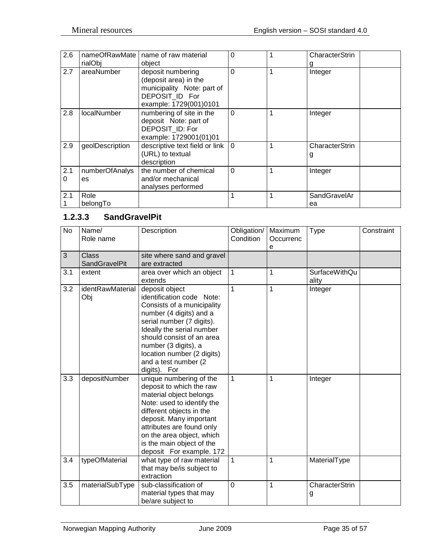| 2.6      | nameOfRawMate<br>rialObj | name of raw material<br>object                                                                                       | $\Omega$ |   | CharacterStrin      |
|----------|--------------------------|----------------------------------------------------------------------------------------------------------------------|----------|---|---------------------|
| 2.7      | areaNumber               | deposit numbering<br>(deposit area) in the<br>municipality Note: part of<br>DEPOSIT ID For<br>example: 1729(001)0101 | $\Omega$ | 1 | Integer             |
| 2.8      | <b>localNumber</b>       | numbering of site in the<br>deposit Note: part of<br>DEPOSIT ID: For<br>example: 1729001(01)01                       | $\Omega$ | 1 | Integer             |
| 2.9      | geolDescription          | descriptive text field or link  <br>(URL) to textual<br>description                                                  | $\Omega$ | 1 | CharacterStrin<br>g |
| 2.1<br>0 | numberOfAnalys<br>es     | the number of chemical<br>and/or mechanical<br>analyses performed                                                    | $\Omega$ | 1 | Integer             |
| 2.1      | Role<br>belongTo         |                                                                                                                      | 1        | 1 | SandGravelAr<br>ea  |

# <span id="page-34-0"></span>**1.2.3.3 SandGravelPit**

| <b>No</b> | Name/<br>Role name            | Description                                                                                                                                                                                                                                                                               | Obligation/<br>Condition | Maximum<br>Occurrenc<br>e | <b>Type</b>                   | Constraint |
|-----------|-------------------------------|-------------------------------------------------------------------------------------------------------------------------------------------------------------------------------------------------------------------------------------------------------------------------------------------|--------------------------|---------------------------|-------------------------------|------------|
| 3         | Class<br><b>SandGravelPit</b> | site where sand and gravel<br>are extracted                                                                                                                                                                                                                                               |                          |                           |                               |            |
| 3.1       | extent                        | area over which an object<br>extends                                                                                                                                                                                                                                                      | $\mathbf{1}$             | $\mathbf{1}$              | <b>SurfaceWithQu</b><br>ality |            |
| 3.2       | identRawMaterial<br>Obj       | deposit object<br>identification code Note:<br>Consists of a municipality<br>number (4 digits) and a<br>serial number (7 digits).<br>Ideally the serial number<br>should consist of an area<br>number (3 digits), a<br>location number (2 digits)<br>and a test number (2<br>digits). For | 1                        | 1                         | Integer                       |            |
| 3.3       | depositNumber                 | unique numbering of the<br>deposit to which the raw<br>material object belongs<br>Note: used to identify the<br>different objects in the<br>deposit. Many important<br>attributes are found only<br>on the area object, which<br>is the main object of the<br>deposit For example. 172    | $\mathbf{1}$             | $\overline{1}$            | Integer                       |            |
| 3.4       | typeOfMaterial                | what type of raw material<br>that may be/is subject to<br>extraction                                                                                                                                                                                                                      | $\mathbf{1}$             | 1                         | MaterialType                  |            |
| 3.5       | materialSubType               | sub-classification of<br>material types that may<br>be/are subject to                                                                                                                                                                                                                     | $\overline{0}$           | 1                         | <b>CharacterStrin</b><br>g    |            |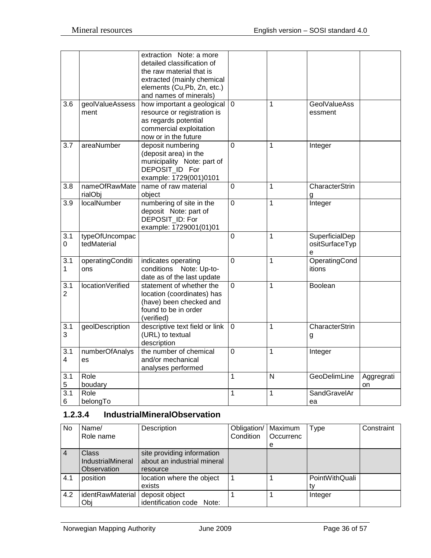|                       |                               | extraction Note: a more<br>detailed classification of<br>the raw material that is<br>extracted (mainly chemical<br>elements (Cu,Pb, Zn, etc.)<br>and names of minerals) |                |                |                                       |                  |
|-----------------------|-------------------------------|-------------------------------------------------------------------------------------------------------------------------------------------------------------------------|----------------|----------------|---------------------------------------|------------------|
| 3.6                   | geolValueAssess<br>ment       | how important a geological<br>resource or registration is<br>as regards potential<br>commercial exploitation<br>now or in the future                                    | $\overline{0}$ | 1              | <b>GeolValueAss</b><br>essment        |                  |
| 3.7                   | areaNumber                    | deposit numbering<br>(deposit area) in the<br>municipality Note: part of<br>DEPOSIT ID For<br>example: 1729(001)0101                                                    | $\overline{0}$ | 1              | Integer                               |                  |
| 3.8                   | nameOfRawMate<br>rialObj      | name of raw material<br>object                                                                                                                                          | 0              | 1              | CharacterStrin<br>g                   |                  |
| 3.9                   | localNumber                   | numbering of site in the<br>deposit Note: part of<br>DEPOSIT_ID: For<br>example: 1729001(01)01                                                                          | $\mathbf 0$    | 1              | Integer                               |                  |
| 3.1<br>0              | typeOfUncompac<br>tedMaterial |                                                                                                                                                                         | $\mathbf 0$    | 1              | SuperficialDep<br>ositSurfaceTyp<br>е |                  |
| 3.1<br>1              | operatingConditi<br>ons       | indicates operating<br>Note: Up-to-<br>conditions<br>date as of the last update                                                                                         | $\overline{0}$ | 1              | OperatingCond<br>itions               |                  |
| 3.1<br>$\overline{2}$ | locationVerified              | statement of whether the<br>location (coordinates) has<br>(have) been checked and<br>found to be in order<br>(verified)                                                 | $\overline{0}$ | $\overline{1}$ | <b>Boolean</b>                        |                  |
| 3.1<br>3              | geolDescription               | descriptive text field or link<br>(URL) to textual<br>description                                                                                                       | $\mathbf 0$    | 1              | CharacterStrin<br>g                   |                  |
| 3.1<br>$\overline{4}$ | numberOfAnalys<br>es          | the number of chemical<br>and/or mechanical<br>analyses performed                                                                                                       | $\mathbf 0$    | 1              | Integer                               |                  |
| 3.1<br>5              | Role<br>boudary               |                                                                                                                                                                         | $\mathbf{1}$   | N              | GeoDelimLine                          | Aggregrati<br>on |
| 3.1<br>6              | Role<br>belongTo              |                                                                                                                                                                         | 1              | 1              | SandGravelAr<br>ea                    |                  |

#### <span id="page-35-0"></span>**1.2.3.4 IndustrialMineralObservation**

| No             | Name/<br>Role name                               | Description                                                           | Obligation/<br>Condition | Maximum<br>Occurrenc | Type           | Constraint |
|----------------|--------------------------------------------------|-----------------------------------------------------------------------|--------------------------|----------------------|----------------|------------|
|                |                                                  |                                                                       |                          | е                    |                |            |
| $\overline{4}$ | Class<br><b>IndustrialMineral</b><br>Observation | site providing information<br>about an industrial mineral<br>resource |                          |                      |                |            |
| 4.1            | position                                         | location where the object<br>exists                                   |                          |                      | PointWithQuali |            |
| 4.2            | identRawMaterial<br>Obj                          | deposit object<br>identification code Note:                           |                          |                      | Integer        |            |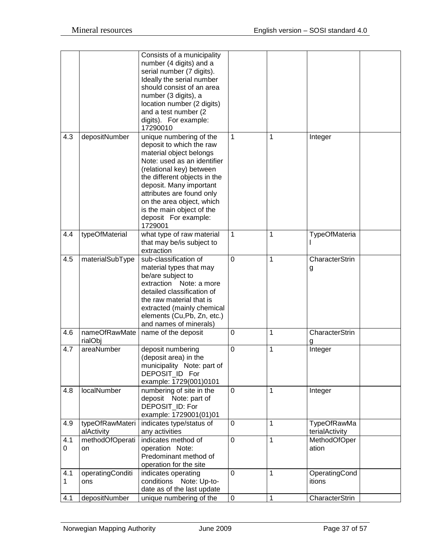|          |                               | Consists of a municipality<br>number (4 digits) and a<br>serial number (7 digits).<br>Ideally the serial number<br>should consist of an area<br>number (3 digits), a<br>location number (2 digits)<br>and a test number (2)<br>digits). For example:<br>17290010                                                               |             |   |                               |
|----------|-------------------------------|--------------------------------------------------------------------------------------------------------------------------------------------------------------------------------------------------------------------------------------------------------------------------------------------------------------------------------|-------------|---|-------------------------------|
| 4.3      | depositNumber                 | unique numbering of the<br>deposit to which the raw<br>material object belongs<br>Note: used as an identifier<br>(relational key) between<br>the different objects in the<br>deposit. Many important<br>attributes are found only<br>on the area object, which<br>is the main object of the<br>deposit For example:<br>1729001 | 1           | 1 | Integer                       |
| 4.4      | typeOfMaterial                | what type of raw material<br>that may be/is subject to<br>extraction                                                                                                                                                                                                                                                           | 1           | 1 | TypeOfMateria                 |
| 4.5      | materialSubType               | sub-classification of<br>material types that may<br>be/are subject to<br>extraction Note: a more<br>detailed classification of<br>the raw material that is<br>extracted (mainly chemical<br>elements (Cu,Pb, Zn, etc.)<br>and names of minerals)                                                                               | 0           | 1 | CharacterStrin<br>g           |
| 4.6      | nameOfRawMate<br>rialObj      | name of the deposit                                                                                                                                                                                                                                                                                                            | $\mathbf 0$ | 1 | CharacterStrin<br>g           |
| 4.7      | areaNumber                    | deposit numbering<br>(deposit area) in the<br>municipality Note: part of<br>DEPOSIT ID For<br>example: 1729(001)0101                                                                                                                                                                                                           | 0           | 1 | Integer                       |
| 4.8      | localNumber                   | numbering of site in the<br>deposit Note: part of<br>DEPOSIT_ID: For<br>example: 1729001(01)01                                                                                                                                                                                                                                 | 0           | 1 | Integer                       |
| 4.9      | typeOfRawMateri<br>alActivity | indicates type/status of<br>any activities                                                                                                                                                                                                                                                                                     | 0           | 1 | TypeOfRawMa<br>terialActivity |
| 4.1<br>0 | methodOfOperati<br>on         | indicates method of<br>operation Note:<br>Predominant method of<br>operation for the site                                                                                                                                                                                                                                      | 0           | 1 | MethodOfOper<br>ation         |
| 4.1<br>1 | operatingConditi<br>ons       | indicates operating<br>conditions Note: Up-to-<br>date as of the last update                                                                                                                                                                                                                                                   | 0           | 1 | OperatingCond<br>itions       |
| 4.1      | depositNumber                 | unique numbering of the                                                                                                                                                                                                                                                                                                        | 0           | 1 | CharacterStrin                |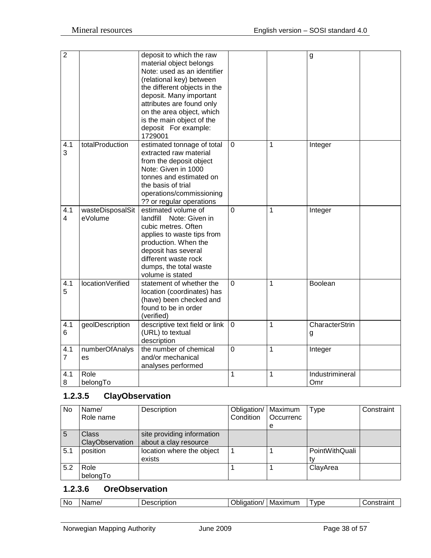| $\overline{2}$        |                             | deposit to which the raw<br>material object belongs<br>Note: used as an identifier<br>(relational key) between<br>the different objects in the<br>deposit. Many important<br>attributes are found only<br>on the area object, which<br>is the main object of the<br>deposit For example:<br>1729001 |                |             | g                      |
|-----------------------|-----------------------------|-----------------------------------------------------------------------------------------------------------------------------------------------------------------------------------------------------------------------------------------------------------------------------------------------------|----------------|-------------|------------------------|
| 4.1<br>3              | totalProduction             | estimated tonnage of total<br>extracted raw material<br>from the deposit object<br>Note: Given in 1000<br>tonnes and estimated on<br>the basis of trial<br>operations/commissioning<br>?? or regular operations                                                                                     | $\mathbf 0$    | 1           | Integer                |
| 4.1<br>$\overline{4}$ | wasteDisposalSit<br>eVolume | estimated volume of<br>landfill Note: Given in<br>cubic metres. Often<br>applies to waste tips from<br>production. When the<br>deposit has several<br>different waste rock<br>dumps, the total waste<br>volume is stated                                                                            | $\overline{0}$ | 1           | Integer                |
| 4.1<br>5              | locationVerified            | statement of whether the<br>location (coordinates) has<br>(have) been checked and<br>found to be in order<br>(verified)                                                                                                                                                                             | $\overline{0}$ | 1           | Boolean                |
| 4.1<br>6              | geolDescription             | descriptive text field or link<br>(URL) to textual<br>description                                                                                                                                                                                                                                   | $\mathbf 0$    | $\mathbf 1$ | CharacterStrin<br>g    |
| 4.1<br>$\overline{7}$ | numberOfAnalys<br>es        | the number of chemical<br>and/or mechanical<br>analyses performed                                                                                                                                                                                                                                   | $\overline{0}$ | 1           | Integer                |
| 4.1<br>8              | Role<br>belongTo            |                                                                                                                                                                                                                                                                                                     | 1              | 1           | Industrimineral<br>Omr |

# <span id="page-37-0"></span>**1.2.3.5 ClayObservation**

| No  | Name/<br>Role name       | Description                                         | Obligation/   Maximum<br>Condition | <b>Occurrenc</b><br>e | <b>Type</b>    | Constraint |
|-----|--------------------------|-----------------------------------------------------|------------------------------------|-----------------------|----------------|------------|
| -5  | Class<br>ClayObservation | site providing information<br>about a clay resource |                                    |                       |                |            |
| 5.1 | position                 | location where the object<br>exists                 |                                    |                       | PointWithQuali |            |
| 5.2 | Role<br>belongTo         |                                                     |                                    |                       | ClayArea       |            |

#### <span id="page-37-1"></span>**1.2.3.6 OreObservation**

| NG |  | ------<br>.<br>o | w<br>------<br>Ma<br>n v<br>וונ | <b>VDC</b><br>7 L J C | --- |
|----|--|------------------|---------------------------------|-----------------------|-----|
|----|--|------------------|---------------------------------|-----------------------|-----|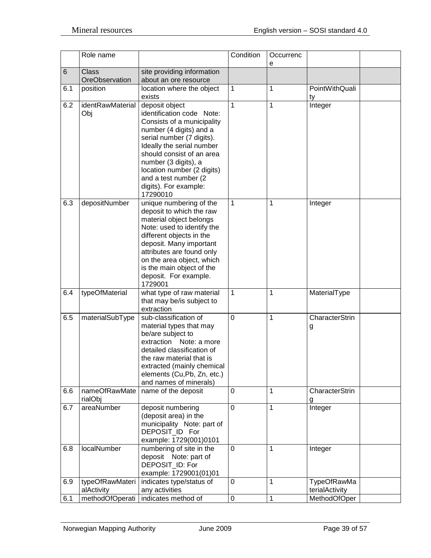|     | Role name                      |                                                                                                                                                                                                                                                                                                                | Condition   | Occurrenc<br>е |                                      |
|-----|--------------------------------|----------------------------------------------------------------------------------------------------------------------------------------------------------------------------------------------------------------------------------------------------------------------------------------------------------------|-------------|----------------|--------------------------------------|
| 6   | <b>Class</b><br>OreObservation | site providing information<br>about an ore resource                                                                                                                                                                                                                                                            |             |                |                                      |
| 6.1 | position                       | location where the object<br>exists                                                                                                                                                                                                                                                                            | 1           | 1              | PointWithQuali<br>ty                 |
| 6.2 | identRawMaterial<br>Obj        | deposit object<br>identification code Note:<br>Consists of a municipality<br>number (4 digits) and a<br>serial number (7 digits).<br>Ideally the serial number<br>should consist of an area<br>number (3 digits), a<br>location number (2 digits)<br>and a test number (2<br>digits). For example:<br>17290010 | 1           | 1              | Integer                              |
| 6.3 | depositNumber                  | unique numbering of the<br>deposit to which the raw<br>material object belongs<br>Note: used to identify the<br>different objects in the<br>deposit. Many important<br>attributes are found only<br>on the area object, which<br>is the main object of the<br>deposit. For example.<br>1729001                 | 1           | 1              | Integer                              |
| 6.4 | typeOfMaterial                 | what type of raw material<br>that may be/is subject to<br>extraction                                                                                                                                                                                                                                           | 1           | 1              | MaterialType                         |
| 6.5 | materialSubType                | sub-classification of<br>material types that may<br>be/are subject to<br>extraction Note: a more<br>detailed classification of<br>the raw material that is<br>extracted (mainly chemical<br>elements (Cu, Pb, Zn, etc.)<br>and names of minerals)                                                              | 0           | 1              | CharacterStrin<br>g                  |
| 6.6 | nameOfRawMate<br>rialObj       | name of the deposit                                                                                                                                                                                                                                                                                            | 0           | 1              | CharacterStrin<br>g                  |
| 6.7 | areaNumber                     | deposit numbering<br>(deposit area) in the<br>municipality Note: part of<br>DEPOSIT_ID For<br>example: 1729(001)0101                                                                                                                                                                                           | $\mathbf 0$ | 1              | Integer                              |
| 6.8 | localNumber                    | numbering of site in the<br>deposit Note: part of<br>DEPOSIT_ID: For<br>example: 1729001(01)01                                                                                                                                                                                                                 | 0           | 1              | Integer                              |
| 6.9 | typeOfRawMateri<br>alActivity  | indicates type/status of<br>any activities                                                                                                                                                                                                                                                                     | $\mathbf 0$ | 1              | <b>TypeOfRawMa</b><br>terialActivity |
| 6.1 | methodOfOperati                | indicates method of                                                                                                                                                                                                                                                                                            | $\pmb{0}$   | 1              | MethodOfOper                         |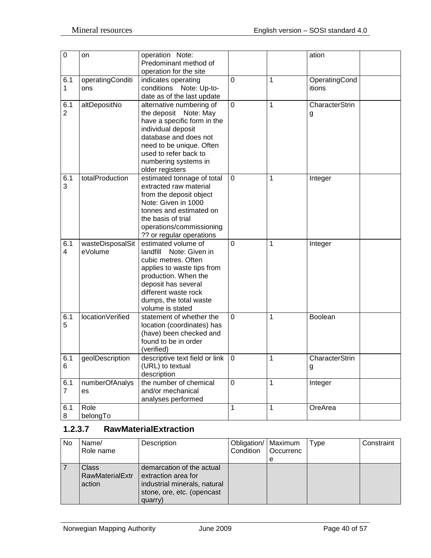| $\pmb{0}$             | on                          | operation Note:<br>Predominant method of<br>operation for the site                                                                                                                                                              |                |              | ation                   |
|-----------------------|-----------------------------|---------------------------------------------------------------------------------------------------------------------------------------------------------------------------------------------------------------------------------|----------------|--------------|-------------------------|
| 6.1<br>1              | operatingConditi<br>ons     | indicates operating<br>conditions Note: Up-to-<br>date as of the last update                                                                                                                                                    | $\mathbf 0$    | 1            | OperatingCond<br>itions |
| 6.1<br>$\overline{2}$ | altDepositNo                | alternative numbering of<br>the deposit Note: May<br>have a specific form in the<br>individual deposit<br>database and does not<br>need to be unique. Often<br>used to refer back to<br>numbering systems in<br>older registers | $\mathbf 0$    | $\mathbf 1$  | CharacterStrin<br>g     |
| 6.1<br>3              | totalProduction             | estimated tonnage of total<br>extracted raw material<br>from the deposit object<br>Note: Given in 1000<br>tonnes and estimated on<br>the basis of trial<br>operations/commissioning<br>?? or regular operations                 | $\mathbf 0$    | 1            | Integer                 |
| 6.1<br>4              | wasteDisposalSit<br>eVolume | estimated volume of<br>landfill Note: Given in<br>cubic metres. Often<br>applies to waste tips from<br>production. When the<br>deposit has several<br>different waste rock<br>dumps, the total waste<br>volume is stated        | $\mathbf 0$    | 1            | Integer                 |
| 6.1<br>5              | locationVerified            | statement of whether the<br>location (coordinates) has<br>(have) been checked and<br>found to be in order<br>(verified)                                                                                                         | $\mathbf 0$    | 1            | Boolean                 |
| 6.1<br>6              | geolDescription             | descriptive text field or link<br>(URL) to textual<br>description                                                                                                                                                               | $\mathbf 0$    | 1            | CharacterStrin<br>g     |
| 6.1<br>$\overline{7}$ | numberOfAnalys<br>es        | the number of chemical<br>and/or mechanical<br>analyses performed                                                                                                                                                               | $\overline{0}$ | $\mathbf 1$  | Integer                 |
| 6.1<br>8              | Role<br>belongTo            |                                                                                                                                                                                                                                 | $\mathbf{1}$   | $\mathbf{1}$ | OreArea                 |

## <span id="page-39-0"></span>**1.2.3.7 RawMaterialExtraction**

| <b>No</b> | Name/                                     | Description                                                                                                               | Obligation/   Maximum |           | Type | Constraint |
|-----------|-------------------------------------------|---------------------------------------------------------------------------------------------------------------------------|-----------------------|-----------|------|------------|
|           | Role name                                 |                                                                                                                           | Condition             | Occurrenc |      |            |
|           |                                           |                                                                                                                           |                       | е         |      |            |
|           | Class<br><b>RawMaterialExtr</b><br>action | demarcation of the actual<br>extraction area for<br>industrial minerals, natural<br>stone, ore, etc. (opencast<br>quarry) |                       |           |      |            |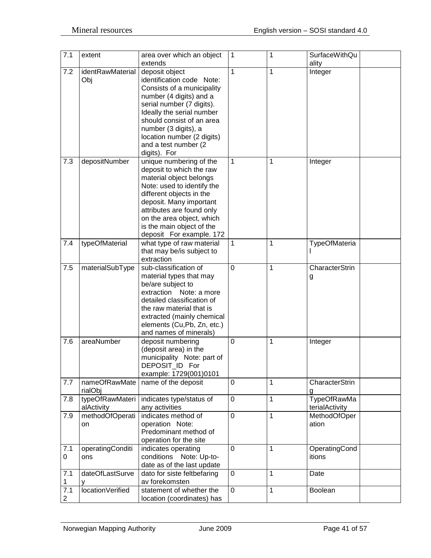| 7.1            | extent           | area over which an object<br>extends | $\mathbf{1}$   | 1            | <b>SurfaceWithQu</b><br>ality |
|----------------|------------------|--------------------------------------|----------------|--------------|-------------------------------|
| 7.2            | identRawMaterial | deposit object                       | 1              | 1            | Integer                       |
|                | Obj              | identification code Note:            |                |              |                               |
|                |                  |                                      |                |              |                               |
|                |                  | Consists of a municipality           |                |              |                               |
|                |                  | number (4 digits) and a              |                |              |                               |
|                |                  | serial number (7 digits).            |                |              |                               |
|                |                  | Ideally the serial number            |                |              |                               |
|                |                  | should consist of an area            |                |              |                               |
|                |                  | number (3 digits), a                 |                |              |                               |
|                |                  | location number (2 digits)           |                |              |                               |
|                |                  | and a test number (2                 |                |              |                               |
|                |                  | digits). For                         |                |              |                               |
| 7.3            | depositNumber    | unique numbering of the              | $\mathbf{1}$   | 1            | Integer                       |
|                |                  | deposit to which the raw             |                |              |                               |
|                |                  | material object belongs              |                |              |                               |
|                |                  | Note: used to identify the           |                |              |                               |
|                |                  | different objects in the             |                |              |                               |
|                |                  |                                      |                |              |                               |
|                |                  | deposit. Many important              |                |              |                               |
|                |                  | attributes are found only            |                |              |                               |
|                |                  | on the area object, which            |                |              |                               |
|                |                  | is the main object of the            |                |              |                               |
|                |                  | deposit For example. 172             |                |              |                               |
| 7.4            | typeOfMaterial   | what type of raw material            | 1              | 1            | TypeOfMateria                 |
|                |                  | that may be/is subject to            |                |              |                               |
|                |                  | extraction                           |                |              |                               |
| 7.5            | materialSubType  | sub-classification of                | $\overline{0}$ | 1            | CharacterStrin                |
|                |                  | material types that may              |                |              | g                             |
|                |                  | be/are subject to                    |                |              |                               |
|                |                  | extraction<br>Note: a more           |                |              |                               |
|                |                  | detailed classification of           |                |              |                               |
|                |                  | the raw material that is             |                |              |                               |
|                |                  | extracted (mainly chemical           |                |              |                               |
|                |                  | elements (Cu,Pb, Zn, etc.)           |                |              |                               |
|                |                  | and names of minerals)               |                |              |                               |
| 7.6            | areaNumber       | deposit numbering                    | 0              | 1            | Integer                       |
|                |                  | (deposit area) in the                |                |              |                               |
|                |                  | municipality Note: part of           |                |              |                               |
|                |                  | DEPOSIT_ID For                       |                |              |                               |
|                |                  | example: 1729(001)0101               |                |              |                               |
| 7.7            | nameOfRawMate    | name of the deposit                  | $\overline{0}$ | 1            | CharacterStrin                |
|                | rialObj          |                                      |                |              | g                             |
| 7.8            | typeOfRawMateri  | indicates type/status of             | $\overline{0}$ | 1            | <b>TypeOfRawMa</b>            |
|                | alActivity       | any activities                       |                |              | terialActivity                |
| 7.9            | methodOfOperati  | indicates method of                  | $\overline{0}$ | $\mathbf{1}$ | MethodOfOper                  |
|                |                  | operation Note:                      |                |              | ation                         |
|                | on               | Predominant method of                |                |              |                               |
|                |                  |                                      |                |              |                               |
|                |                  | operation for the site               |                |              |                               |
| 7.1            | operatingConditi | indicates operating                  | 0              | 1            | OperatingCond                 |
| 0              | ons              | conditions Note: Up-to-              |                |              | itions                        |
|                |                  | date as of the last update           |                |              |                               |
| 7.1            | dateOfLastSurve  | dato for siste feltbefaring          | 0              | 1            | Date                          |
| 1              | v                | av forekomsten                       |                |              |                               |
| 7.1            | locationVerified | statement of whether the             | $\mathbf 0$    | 1            | Boolean                       |
| $\overline{2}$ |                  | location (coordinates) has           |                |              |                               |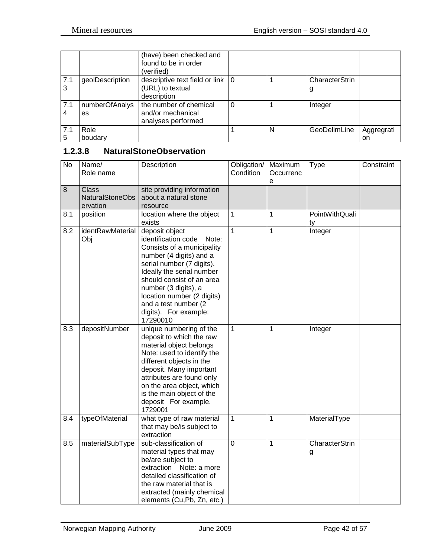|                |                 | (have) been checked and<br>found to be in order<br>(verified) |   |   |                |            |
|----------------|-----------------|---------------------------------------------------------------|---|---|----------------|------------|
| 7.1            | geolDescription | descriptive text field or link   0                            |   |   | CharacterStrin |            |
|                |                 | (URL) to textual                                              |   |   |                |            |
|                |                 | description                                                   |   |   |                |            |
| 7.1            | numberOfAnalys  | the number of chemical                                        | 0 |   | Integer        |            |
| $\overline{4}$ | es              | and/or mechanical                                             |   |   |                |            |
|                |                 | analyses performed                                            |   |   |                |            |
| 7.1            | Role            |                                                               |   | N | GeoDelimLine   | Aggregrati |
| 5              | boudary         |                                                               |   |   |                | on         |

## <span id="page-41-0"></span>**1.2.3.8 NaturalStoneObservation**

| <b>No</b> | Name/<br>Role name                                 | Description                                                                                                                                                                                                                                                                                                        | Obligation/<br>Condition | Maximum<br>Occurrenc<br>e | <b>Type</b>          | Constraint |
|-----------|----------------------------------------------------|--------------------------------------------------------------------------------------------------------------------------------------------------------------------------------------------------------------------------------------------------------------------------------------------------------------------|--------------------------|---------------------------|----------------------|------------|
| 8         | <b>Class</b><br><b>NaturalStoneObs</b><br>ervation | site providing information<br>about a natural stone<br>resource                                                                                                                                                                                                                                                    |                          |                           |                      |            |
| 8.1       | position                                           | location where the object<br>exists                                                                                                                                                                                                                                                                                | $\mathbf{1}$             | 1                         | PointWithQuali<br>ty |            |
| 8.2       | identRawMaterial<br>Obj                            | deposit object<br>identification code<br>Note:<br>Consists of a municipality<br>number (4 digits) and a<br>serial number (7 digits).<br>Ideally the serial number<br>should consist of an area<br>number (3 digits), a<br>location number (2 digits)<br>and a test number (2)<br>digits). For example:<br>17290010 | $\overline{1}$           | $\overline{1}$            | Integer              |            |
| 8.3       | depositNumber                                      | unique numbering of the<br>deposit to which the raw<br>material object belongs<br>Note: used to identify the<br>different objects in the<br>deposit. Many important<br>attributes are found only<br>on the area object, which<br>is the main object of the<br>deposit For example.<br>1729001                      | $\mathbf{1}$             | 1                         | Integer              |            |
| 8.4       | typeOfMaterial                                     | what type of raw material<br>that may be/is subject to<br>extraction                                                                                                                                                                                                                                               | $\mathbf{1}$             | 1                         | MaterialType         |            |
| 8.5       | materialSubType                                    | sub-classification of<br>material types that may<br>be/are subject to<br>extraction Note: a more<br>detailed classification of<br>the raw material that is<br>extracted (mainly chemical<br>elements (Cu,Pb, Zn, etc.)                                                                                             | $\mathbf 0$              | 1                         | CharacterStrin<br>g  |            |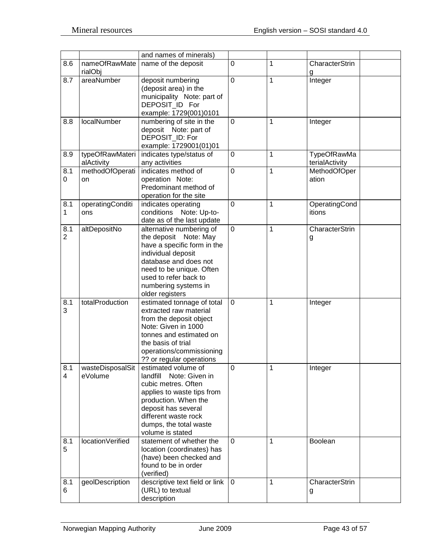|                       |                               | and names of minerals)                                                                                                                                                                                                          |             |              |                               |  |
|-----------------------|-------------------------------|---------------------------------------------------------------------------------------------------------------------------------------------------------------------------------------------------------------------------------|-------------|--------------|-------------------------------|--|
| 8.6                   | nameOfRawMate<br>rialObj      | name of the deposit                                                                                                                                                                                                             | $\mathbf 0$ | 1            | CharacterStrin<br>g           |  |
| 8.7                   | areaNumber                    | deposit numbering<br>(deposit area) in the<br>municipality Note: part of<br>DEPOSIT ID For<br>example: 1729(001)0101                                                                                                            | $\mathbf 0$ | 1            | Integer                       |  |
| 8.8                   | localNumber                   | numbering of site in the<br>deposit Note: part of<br>DEPOSIT_ID: For<br>example: 1729001(01)01                                                                                                                                  | $\mathbf 0$ | 1            | Integer                       |  |
| 8.9                   | typeOfRawMateri<br>alActivity | indicates type/status of<br>any activities                                                                                                                                                                                      | 0           | 1            | TypeOfRawMa<br>terialActivity |  |
| 8.1<br>0              | methodOfOperati<br>on         | indicates method of<br>operation Note:<br>Predominant method of<br>operation for the site                                                                                                                                       | $\mathbf 0$ | $\mathbf 1$  | MethodOfOper<br>ation         |  |
| 8.1<br>$\mathbf{1}$   | operatingConditi<br>ons       | indicates operating<br>conditions Note: Up-to-<br>date as of the last update                                                                                                                                                    | $\mathbf 0$ | 1            | OperatingCond<br>itions       |  |
| 8.1<br>$\overline{2}$ | altDepositNo                  | alternative numbering of<br>the deposit Note: May<br>have a specific form in the<br>individual deposit<br>database and does not<br>need to be unique. Often<br>used to refer back to<br>numbering systems in<br>older registers | $\mathbf 0$ | 1            | CharacterStrin<br>g           |  |
| 8.1<br>3              | totalProduction               | estimated tonnage of total<br>extracted raw material<br>from the deposit object<br>Note: Given in 1000<br>tonnes and estimated on<br>the basis of trial<br>operations/commissioning<br>?? or regular operations                 | $\mathbf 0$ | 1            | Integer                       |  |
| 8.1<br>$\overline{4}$ | wasteDisposalSit<br>eVolume   | estimated volume of<br>landfill<br>Note: Given in<br>cubic metres. Often<br>applies to waste tips from<br>production. When the<br>deposit has several<br>different waste rock<br>dumps, the total waste<br>volume is stated     | $\mathbf 0$ | 1            | Integer                       |  |
| 8.1<br>5              | locationVerified              | statement of whether the<br>location (coordinates) has<br>(have) been checked and<br>found to be in order<br>(verified)                                                                                                         | $\mathbf 0$ | 1            | <b>Boolean</b>                |  |
| 8.1<br>6              | geolDescription               | descriptive text field or link<br>(URL) to textual<br>description                                                                                                                                                               | $\mathbf 0$ | $\mathbf{1}$ | CharacterStrin<br>g           |  |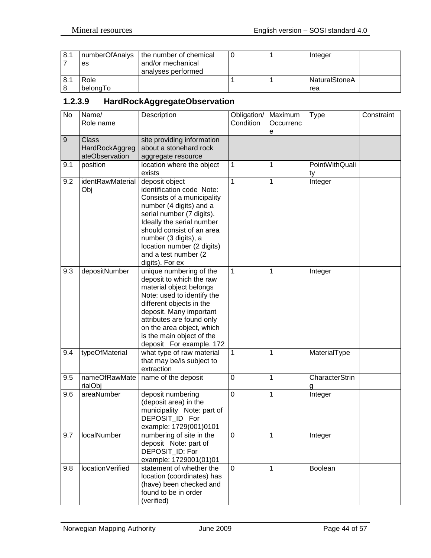| 8.1 |          | numberOfAnalys   the number of chemical |  | Integer       |  |
|-----|----------|-----------------------------------------|--|---------------|--|
|     | es       | and/or mechanical                       |  |               |  |
|     |          | analyses performed                      |  |               |  |
| 8.1 | Role     |                                         |  | NaturalStoneA |  |
|     | belongTo |                                         |  | rea           |  |

# <span id="page-43-0"></span>**1.2.3.9 HardRockAggregateObservation**

| No  | Name/<br>Role name                               | Description                                                                                                                                                                                                                                                                                  | Obligation/<br>Condition | Maximum<br>Occurrenc | <b>Type</b>          | Constraint |
|-----|--------------------------------------------------|----------------------------------------------------------------------------------------------------------------------------------------------------------------------------------------------------------------------------------------------------------------------------------------------|--------------------------|----------------------|----------------------|------------|
| $9$ | <b>Class</b><br>HardRockAggreg<br>ateObservation | site providing information<br>about a stonehard rock<br>aggregate resource                                                                                                                                                                                                                   |                          | е                    |                      |            |
| 9.1 | position                                         | location where the object<br>exists                                                                                                                                                                                                                                                          | 1                        | 1                    | PointWithQuali<br>ty |            |
| 9.2 | identRawMaterial<br>Obj                          | deposit object<br>identification code Note:<br>Consists of a municipality<br>number (4 digits) and a<br>serial number (7 digits).<br>Ideally the serial number<br>should consist of an area<br>number (3 digits), a<br>location number (2 digits)<br>and a test number (2<br>digits). For ex | 1                        | 1                    | Integer              |            |
| 9.3 | depositNumber                                    | unique numbering of the<br>deposit to which the raw<br>material object belongs<br>Note: used to identify the<br>different objects in the<br>deposit. Many important<br>attributes are found only<br>on the area object, which<br>is the main object of the<br>deposit For example. 172       | 1                        | 1                    | Integer              |            |
| 9.4 | typeOfMaterial                                   | what type of raw material<br>that may be/is subject to<br>extraction                                                                                                                                                                                                                         | 1                        | 1                    | MaterialType         |            |
| 9.5 | nameOfRawMate<br>rialObj                         | name of the deposit                                                                                                                                                                                                                                                                          | 0                        | 1                    | CharacterStrin<br>g  |            |
| 9.6 | areaNumber                                       | deposit numbering<br>(deposit area) in the<br>municipality Note: part of<br>DEPOSIT_ID For<br>example: 1729(001)0101                                                                                                                                                                         | 0                        | 1                    | Integer              |            |
| 9.7 | localNumber                                      | numbering of site in the<br>deposit Note: part of<br>DEPOSIT_ID: For<br>example: 1729001(01)01                                                                                                                                                                                               | $\mathbf 0$              | 1                    | Integer              |            |
| 9.8 | locationVerified                                 | statement of whether the<br>location (coordinates) has<br>(have) been checked and<br>found to be in order<br>(verified)                                                                                                                                                                      | 0                        | 1                    | Boolean              |            |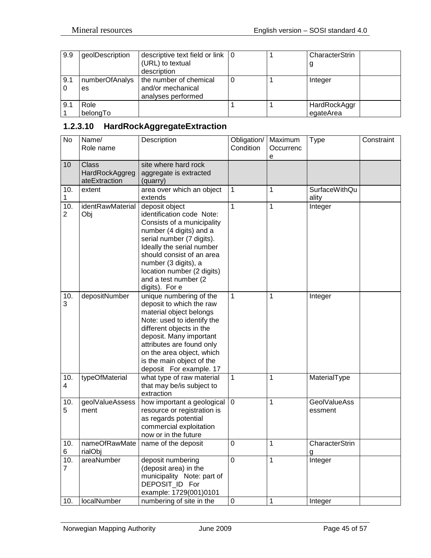| 9.9 | geolDescription | descriptive text field or link $\vert 0 \rangle$ |  | CharacterStrin |
|-----|-----------------|--------------------------------------------------|--|----------------|
|     |                 | (URL) to textual                                 |  |                |
|     |                 | description                                      |  |                |
| 9.1 | numberOfAnalys  | the number of chemical                           |  | Integer        |
|     | es              | and/or mechanical                                |  |                |
|     |                 | analyses performed                               |  |                |
| 9.1 | Role            |                                                  |  | HardRockAggr   |
|     | belongTo        |                                                  |  | egateArea      |

# <span id="page-44-0"></span>**1.2.3.10 HardRockAggregateExtraction**

| No                    | Name/<br>Role name                              | Description                                                                                                                                                                                                                                                                                 | Obligation/<br>Condition | Maximum<br>Occurrenc<br>е | <b>Type</b>                    | Constraint |
|-----------------------|-------------------------------------------------|---------------------------------------------------------------------------------------------------------------------------------------------------------------------------------------------------------------------------------------------------------------------------------------------|--------------------------|---------------------------|--------------------------------|------------|
| 10                    | <b>Class</b><br>HardRockAggreg<br>ateExtraction | site where hard rock<br>aggregate is extracted<br>(quarry)                                                                                                                                                                                                                                  |                          |                           |                                |            |
| 10.<br>1              | extent                                          | area over which an object<br>extends                                                                                                                                                                                                                                                        | $\mathbf{1}$             | 1                         | <b>SurfaceWithQu</b><br>ality  |            |
| 10.<br>$\overline{2}$ | identRawMaterial<br>Obj                         | deposit object<br>identification code Note:<br>Consists of a municipality<br>number (4 digits) and a<br>serial number (7 digits).<br>Ideally the serial number<br>should consist of an area<br>number (3 digits), a<br>location number (2 digits)<br>and a test number (2<br>digits). For e | $\mathbf{1}$             | $\overline{1}$            | Integer                        |            |
| 10.<br>3              | depositNumber                                   | unique numbering of the<br>deposit to which the raw<br>material object belongs<br>Note: used to identify the<br>different objects in the<br>deposit. Many important<br>attributes are found only<br>on the area object, which<br>is the main object of the<br>deposit For example. 17       | 1                        | 1                         | Integer                        |            |
| 10.<br>4              | typeOfMaterial                                  | what type of raw material<br>that may be/is subject to<br>extraction                                                                                                                                                                                                                        | $\mathbf{1}$             | 1                         | MaterialType                   |            |
| 10.<br>5              | geolValueAssess<br>ment                         | how important a geological<br>resource or registration is<br>as regards potential<br>commercial exploitation<br>now or in the future                                                                                                                                                        | $\mathbf 0$              | 1                         | <b>GeolValueAss</b><br>essment |            |
| 10.<br>6              | nameOfRawMate<br>rialObj                        | name of the deposit                                                                                                                                                                                                                                                                         | $\mathbf 0$              | 1                         | CharacterStrin<br><u>g</u>     |            |
| 10.<br>$\overline{7}$ | areaNumber                                      | deposit numbering<br>(deposit area) in the<br>municipality Note: part of<br>DEPOSIT_ID For<br>example: 1729(001)0101                                                                                                                                                                        | $\mathbf 0$              | 1                         | Integer                        |            |
| 10.                   | localNumber                                     | numbering of site in the                                                                                                                                                                                                                                                                    | $\pmb{0}$                | $\mathbf 1$               | Integer                        |            |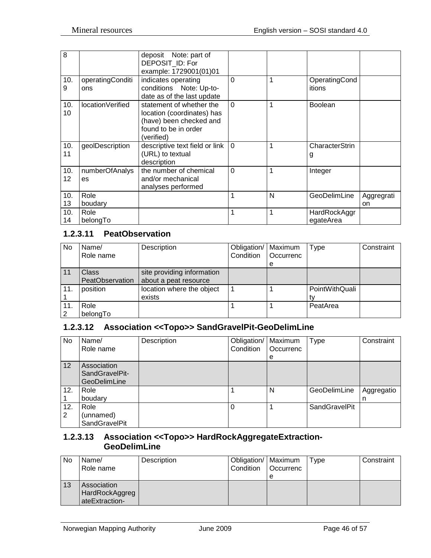| 8         |                         | deposit Note: part of<br>DEPOSIT_ID: For<br>example: 1729001(01)01                                                      |                |   |                           |                  |
|-----------|-------------------------|-------------------------------------------------------------------------------------------------------------------------|----------------|---|---------------------------|------------------|
| 10.<br>9  | operatingConditi<br>ons | indicates operating<br>conditions Note: Up-to-<br>date as of the last update                                            | $\Omega$       | 1 | OperatingCond<br>itions   |                  |
| 10.<br>10 | location Verified       | statement of whether the<br>location (coordinates) has<br>(have) been checked and<br>found to be in order<br>(verified) | $\Omega$       | 1 | <b>Boolean</b>            |                  |
| 10.<br>11 | geolDescription         | descriptive text field or link<br>(URL) to textual<br>description                                                       | $\Omega$       | 1 | CharacterStrin<br>g       |                  |
| 10.<br>12 | numberOfAnalys<br>es    | the number of chemical<br>and/or mechanical<br>analyses performed                                                       | $\overline{0}$ | 1 | Integer                   |                  |
| 10.<br>13 | Role<br>boudary         |                                                                                                                         | 1              | N | GeoDelimLine              | Aggregrati<br>on |
| 10.<br>14 | Role<br>belongTo        |                                                                                                                         | 1              | 1 | HardRockAggr<br>egateArea |                  |

## <span id="page-45-0"></span>**1.2.3.11 PeatObservation**

| No  | Name/           | Description                | Obligation/   Maximum |                  | Type           | Constraint |
|-----|-----------------|----------------------------|-----------------------|------------------|----------------|------------|
|     | Role name       |                            | Condition             | <b>Occurrenc</b> |                |            |
|     |                 |                            |                       | e                |                |            |
| 11  | <b>Class</b>    | site providing information |                       |                  |                |            |
|     | PeatObservation | about a peat resource      |                       |                  |                |            |
| 11. | position        | location where the object  |                       |                  | PointWithQuali |            |
|     |                 | exists                     |                       |                  |                |            |
| 11. | Role            |                            |                       |                  | PeatArea       |            |
| 2   | belongTo        |                            |                       |                  |                |            |

## <span id="page-45-1"></span>**1.2.3.12 Association <<Topo>> SandGravelPit-GeoDelimLine**

| No       | Name/<br>Role name                                   | Description | Obligation/   Maximum<br>Condition | Occurrenc<br>e | <b>Type</b>          | Constraint      |
|----------|------------------------------------------------------|-------------|------------------------------------|----------------|----------------------|-----------------|
| 12       | Association<br>SandGravelPit-<br><b>GeoDelimLine</b> |             |                                    |                |                      |                 |
| 12.      | Role<br>boudary                                      |             |                                    | N              | GeoDelimLine         | Aggregatio<br>n |
| 12.<br>2 | Role<br>(unnamed)<br>SandGravelPit                   |             |                                    |                | <b>SandGravelPit</b> |                 |

#### <span id="page-45-2"></span>**1.2.3.13 Association <<Topo>> HardRockAggregateExtraction-GeoDelimLine**

| No | Name/<br>Role name                              | Description | Obligation/   Maximum<br>Condition | <b>Occurrenc</b> | Type | Constraint |
|----|-------------------------------------------------|-------------|------------------------------------|------------------|------|------------|
|    |                                                 |             |                                    | e                |      |            |
| 13 | Association<br>HardRockAggreg<br>ateExtraction- |             |                                    |                  |      |            |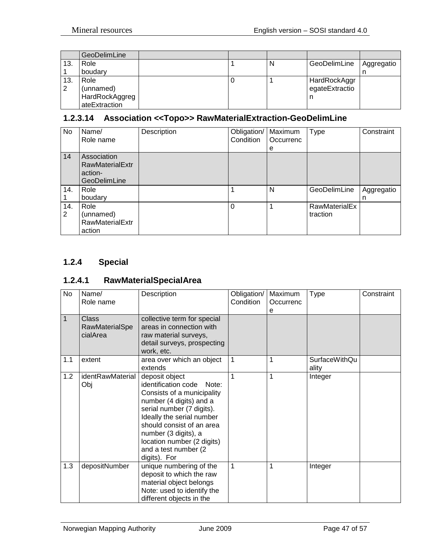|     | <b>GeoDelimLine</b> |  |   |                |            |
|-----|---------------------|--|---|----------------|------------|
| 13. | Role                |  | N | GeoDelimLine   | Aggregatio |
|     | boudary             |  |   |                | n          |
| 13. | Role                |  |   | HardRockAggr   |            |
| 2   | (unnamed)           |  |   | egateExtractio |            |
|     | HardRockAggreg      |  |   |                |            |
|     | ateExtraction       |  |   |                |            |

## <span id="page-46-0"></span>**1.2.3.14 Association <<Topo>> RawMaterialExtraction-GeoDelimLine**

| No                    | Name/<br>Role name                                                      | Description | Obligation/<br>Condition | Maximum<br>Occurrenc<br>е | <b>Type</b>               | Constraint      |
|-----------------------|-------------------------------------------------------------------------|-------------|--------------------------|---------------------------|---------------------------|-----------------|
| 14                    | Association<br><b>RawMaterialExtr</b><br>action-<br><b>GeoDelimLine</b> |             |                          |                           |                           |                 |
| 14.                   | Role<br>boudary                                                         |             |                          | N                         | GeoDelimLine              | Aggregatio<br>n |
| 14.<br>$\overline{2}$ | Role<br>(unnamed)<br><b>RawMaterialExtr</b><br>action                   |             | $\Omega$                 |                           | RawMaterialEx<br>traction |                 |

## <span id="page-46-1"></span>**1.2.4 Special**

## <span id="page-46-2"></span>**1.2.4.1 RawMaterialSpecialArea**

| No          | Name/<br>Role name                         | Description                                                                                                                                                                                                                                                                                   | Obligation/<br>Condition | Maximum<br>Occurrenc<br>е | <b>Type</b>                   | Constraint |
|-------------|--------------------------------------------|-----------------------------------------------------------------------------------------------------------------------------------------------------------------------------------------------------------------------------------------------------------------------------------------------|--------------------------|---------------------------|-------------------------------|------------|
| $\mathbf 1$ | <b>Class</b><br>RawMaterialSpe<br>cialArea | collective term for special<br>areas in connection with<br>raw material surveys,<br>detail surveys, prospecting<br>work, etc.                                                                                                                                                                 |                          |                           |                               |            |
| 1.1         | extent                                     | area over which an object<br>extends                                                                                                                                                                                                                                                          | 1                        | 1                         | <b>SurfaceWithQu</b><br>ality |            |
| 1.2         | identRawMaterial<br>Obj                    | deposit object<br>identification code<br>Note:<br>Consists of a municipality<br>number (4 digits) and a<br>serial number (7 digits).<br>Ideally the serial number<br>should consist of an area<br>number (3 digits), a<br>location number (2 digits)<br>and a test number (2)<br>digits). For | 1                        | 1                         | Integer                       |            |
| 1.3         | depositNumber                              | unique numbering of the<br>deposit to which the raw<br>material object belongs<br>Note: used to identify the<br>different objects in the                                                                                                                                                      | 1                        | 1                         | Integer                       |            |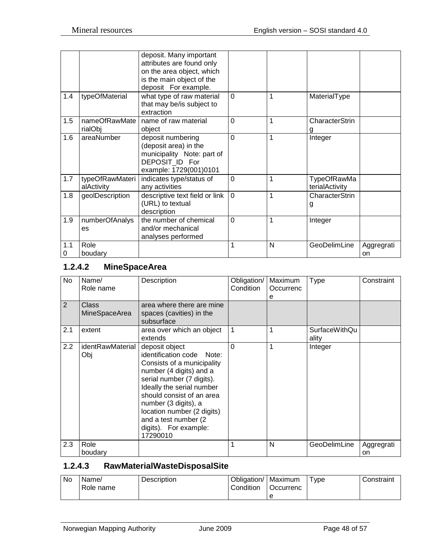|          |                               | deposit. Many important<br>attributes are found only<br>on the area object, which<br>is the main object of the<br>deposit For example. |                |   |                                      |                  |
|----------|-------------------------------|----------------------------------------------------------------------------------------------------------------------------------------|----------------|---|--------------------------------------|------------------|
| 1.4      | typeOfMaterial                | what type of raw material<br>that may be/is subject to<br>extraction                                                                   | $\mathbf 0$    | 1 | MaterialType                         |                  |
| 1.5      | nameOfRawMate<br>rialObj      | name of raw material<br>object                                                                                                         | $\overline{0}$ | 1 | CharacterStrin                       |                  |
| 1.6      | areaNumber                    | deposit numbering<br>(deposit area) in the<br>municipality Note: part of<br>DEPOSIT ID For<br>example: 1729(001)0101                   | $\overline{0}$ | 1 | Integer                              |                  |
| 1.7      | typeOfRawMateri<br>alActivity | indicates type/status of<br>any activities                                                                                             | $\Omega$       | 1 | <b>TypeOfRawMa</b><br>terialActivity |                  |
| 1.8      | geolDescription               | descriptive text field or link<br>(URL) to textual<br>description                                                                      | $\Omega$       | 1 | CharacterStrin<br>g                  |                  |
| 1.9      | numberOfAnalys<br>es          | the number of chemical<br>and/or mechanical<br>analyses performed                                                                      | $\Omega$       | 1 | Integer                              |                  |
| 1.1<br>0 | Role<br>boudary               |                                                                                                                                        | 1              | N | GeoDelimLine                         | Aggregrati<br>on |

# <span id="page-47-0"></span>**1.2.4.2 MineSpaceArea**

| No  | Name/<br>Role name      | Description                                                                                                                                                                                                                                                                                                     | Obligation/<br>Condition | Maximum<br>Occurrenc<br>е | <b>Type</b>                   | Constraint       |
|-----|-------------------------|-----------------------------------------------------------------------------------------------------------------------------------------------------------------------------------------------------------------------------------------------------------------------------------------------------------------|--------------------------|---------------------------|-------------------------------|------------------|
| 2   | Class<br>MineSpaceArea  | area where there are mine<br>spaces (cavities) in the<br>subsurface                                                                                                                                                                                                                                             |                          |                           |                               |                  |
| 2.1 | extent                  | area over which an object<br>extends                                                                                                                                                                                                                                                                            |                          |                           | <b>SurfaceWithQu</b><br>ality |                  |
| 2.2 | identRawMaterial<br>Obj | deposit object<br>identification code Note:<br>Consists of a municipality<br>number (4 digits) and a<br>serial number (7 digits).<br>Ideally the serial number<br>should consist of an area<br>number (3 digits), a<br>location number (2 digits)<br>and a test number (2)<br>digits). For example:<br>17290010 | 0                        |                           | Integer                       |                  |
| 2.3 | Role<br>boudary         |                                                                                                                                                                                                                                                                                                                 |                          | N                         | GeoDelimLine                  | Aggregrati<br>on |

## <span id="page-47-1"></span>**1.2.4.3 RawMaterialWasteDisposalSite**

| No. | Name/<br>Role name | Description | Obligation/   Maximum<br>Condition | Occurrenc | vpe | Constraint |
|-----|--------------------|-------------|------------------------------------|-----------|-----|------------|
|     |                    |             |                                    |           |     |            |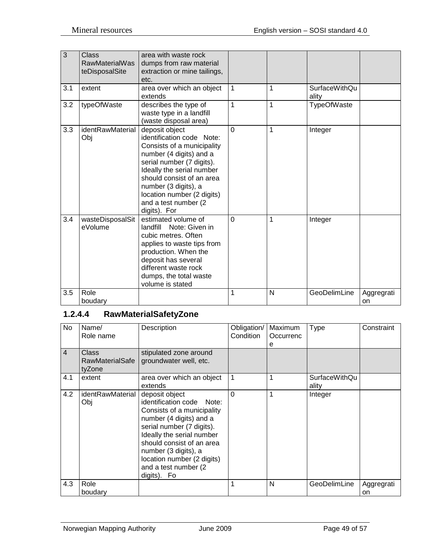| 3   | Class<br><b>RawMaterialWas</b><br>teDisposalSite | area with waste rock<br>dumps from raw material<br>extraction or mine tailings,<br>etc.                                                                                                                                                                                                   |          |   |                               |                  |
|-----|--------------------------------------------------|-------------------------------------------------------------------------------------------------------------------------------------------------------------------------------------------------------------------------------------------------------------------------------------------|----------|---|-------------------------------|------------------|
| 3.1 | extent                                           | area over which an object<br>extends                                                                                                                                                                                                                                                      | 1        | 1 | <b>SurfaceWithQu</b><br>ality |                  |
| 3.2 | typeOfWaste                                      | describes the type of<br>waste type in a landfill<br>(waste disposal area)                                                                                                                                                                                                                | 1        | 1 | TypeOfWaste                   |                  |
| 3.3 | identRawMaterial<br>Obj                          | deposit object<br>identification code Note:<br>Consists of a municipality<br>number (4 digits) and a<br>serial number (7 digits).<br>Ideally the serial number<br>should consist of an area<br>number (3 digits), a<br>location number (2 digits)<br>and a test number (2<br>digits). For | $\Omega$ | 1 | Integer                       |                  |
| 3.4 | wasteDisposalSit<br>eVolume                      | estimated volume of<br>Note: Given in<br>landfill<br>cubic metres. Often<br>applies to waste tips from<br>production. When the<br>deposit has several<br>different waste rock<br>dumps, the total waste<br>volume is stated                                                               | $\Omega$ | 1 | Integer                       |                  |
| 3.5 | Role<br>boudary                                  |                                                                                                                                                                                                                                                                                           | 1        | N | GeoDelimLine                  | Aggregrati<br>on |

## <span id="page-48-0"></span>**1.2.4.4 RawMaterialSafetyZone**

| No             | Name/<br>Role name                 | Description                                                                                                                                                                                                                                                                               | Obligation/<br><b>Condition</b> | Maximum<br>Occurrenc<br>e | Type                   | Constraint |
|----------------|------------------------------------|-------------------------------------------------------------------------------------------------------------------------------------------------------------------------------------------------------------------------------------------------------------------------------------------|---------------------------------|---------------------------|------------------------|------------|
| $\overline{4}$ | Class<br>RawMaterialSafe<br>tyZone | stipulated zone around<br>groundwater well, etc.                                                                                                                                                                                                                                          |                                 |                           |                        |            |
| 4.1            | extent                             | area over which an object<br>extends                                                                                                                                                                                                                                                      |                                 |                           | SurfaceWithQu<br>ality |            |
| 4.2            | identRawMaterial<br>Obj            | deposit object<br>identification code Note:<br>Consists of a municipality<br>number (4 digits) and a<br>serial number (7 digits).<br>Ideally the serial number<br>should consist of an area<br>number (3 digits), a<br>location number (2 digits)<br>and a test number (2)<br>digits). Fo | 0                               |                           | Integer                |            |
| 4.3            | Role                               |                                                                                                                                                                                                                                                                                           |                                 | N                         | GeoDelimLine           | Aggregrati |
|                | boudary                            |                                                                                                                                                                                                                                                                                           |                                 |                           |                        | on         |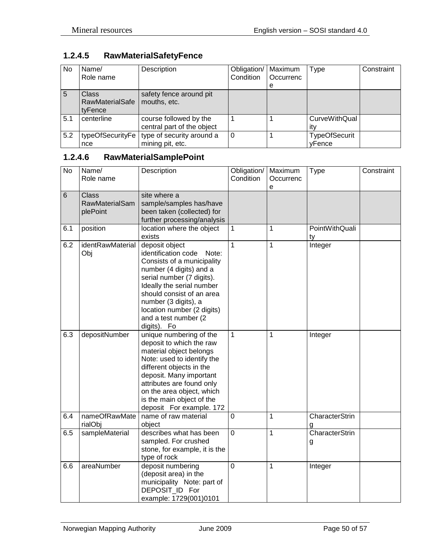# <span id="page-49-0"></span>**1.2.4.5 RawMaterialSafetyFence**

| No. | Name/<br>Role name                                | Description                                          | Obligation/<br>Condition | Maximum<br>Occurrenc | <b>Type</b>                    | Constraint |
|-----|---------------------------------------------------|------------------------------------------------------|--------------------------|----------------------|--------------------------------|------------|
|     |                                                   |                                                      |                          | e                    |                                |            |
| -5  | <b>Class</b><br><b>RawMaterialSafe</b><br>tyFence | safety fence around pit<br>mouths, etc.              |                          |                      |                                |            |
| 5.1 | centerline                                        | course followed by the<br>central part of the object |                          |                      | CurveWithQual<br>itv           |            |
| 5.2 | typeOfSecurityFe<br>nce                           | type of security around a<br>mining pit, etc.        | 0                        |                      | <b>TypeOfSecurit</b><br>vFence |            |

# <span id="page-49-1"></span>**1.2.4.6 RawMaterialSamplePoint**

| <b>No</b> | Name/<br>Role name                                | Description                                                                                                                                                                                                                                                                                 | Obligation/<br>Condition | Maximum<br>Occurrenc<br>e | <b>Type</b>          | Constraint |
|-----------|---------------------------------------------------|---------------------------------------------------------------------------------------------------------------------------------------------------------------------------------------------------------------------------------------------------------------------------------------------|--------------------------|---------------------------|----------------------|------------|
| 6         | <b>Class</b><br><b>RawMaterialSam</b><br>plePoint | site where a<br>sample/samples has/have<br>been taken (collected) for<br>further processing/analysis                                                                                                                                                                                        |                          |                           |                      |            |
| 6.1       | position                                          | location where the object<br>exists                                                                                                                                                                                                                                                         | $\mathbf{1}$             | $\mathbf{1}$              | PointWithQuali<br>ty |            |
| 6.2       | identRawMaterial<br>Obj                           | deposit object<br>identification code<br>Note:<br>Consists of a municipality<br>number (4 digits) and a<br>serial number (7 digits).<br>Ideally the serial number<br>should consist of an area<br>number (3 digits), a<br>location number (2 digits)<br>and a test number (2<br>digits). Fo | $\mathbf{1}$             | $\mathbf{1}$              | Integer              |            |
| 6.3       | depositNumber                                     | unique numbering of the<br>deposit to which the raw<br>material object belongs<br>Note: used to identify the<br>different objects in the<br>deposit. Many important<br>attributes are found only<br>on the area object, which<br>is the main object of the<br>deposit For example. 172      | $\overline{1}$           | $\mathbf{1}$              | Integer              |            |
| 6.4       | nameOfRawMate<br>rialObj                          | name of raw material<br>object                                                                                                                                                                                                                                                              | $\overline{0}$           | $\mathbf{1}$              | CharacterStrin<br>g  |            |
| 6.5       | sampleMaterial                                    | describes what has been<br>sampled. For crushed<br>stone, for example, it is the<br>type of rock                                                                                                                                                                                            | $\mathbf 0$              | $\mathbf{1}$              | CharacterStrin<br>g  |            |
| 6.6       | areaNumber                                        | deposit numbering<br>(deposit area) in the<br>municipality Note: part of<br>DEPOSIT_ID For<br>example: 1729(001)0101                                                                                                                                                                        | $\overline{0}$           | $\mathbf{1}$              | Integer              |            |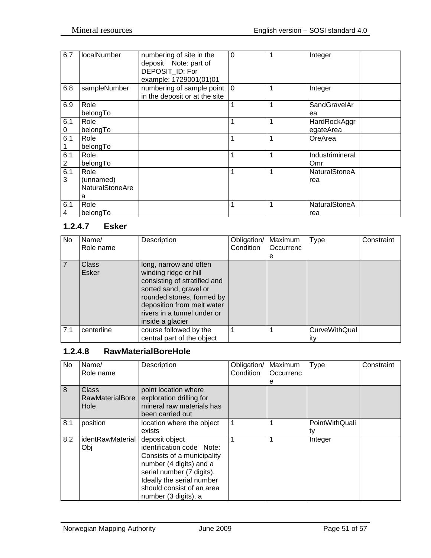| 6.7      | localNumber                                      | numbering of site in the<br>deposit Note: part of<br>DEPOSIT_ID: For<br>example: 1729001(01)01 | $\Omega$ | 1 | Integer                     |
|----------|--------------------------------------------------|------------------------------------------------------------------------------------------------|----------|---|-----------------------------|
| 6.8      | sampleNumber                                     | numbering of sample point   0<br>in the deposit or at the site                                 |          | 1 | Integer                     |
| 6.9      | Role<br>belongTo                                 |                                                                                                | 1        | 1 | SandGravelAr<br>ea          |
| 6.1<br>0 | Role<br>belongTo                                 |                                                                                                | 1        | 1 | HardRockAggr<br>egateArea   |
| 6.1      | Role<br>belongTo                                 |                                                                                                | 1        | 1 | OreArea                     |
| 6.1<br>2 | Role<br>belongTo                                 |                                                                                                | 1        | 1 | Industrimineral<br>Omr      |
| 6.1<br>3 | Role<br>(unnamed)<br><b>NaturalStoneAre</b><br>a |                                                                                                | 1        | 1 | <b>NaturalStoneA</b><br>rea |
| 6.1<br>4 | Role<br>belongTo                                 |                                                                                                | 1        | 1 | NaturalStoneA<br>rea        |

## <span id="page-50-0"></span>**1.2.4.7 Esker**

| No             | Name/          | Description                                                                                                                                                                                                             | Obligation/ | Maximum   | Type                        | Constraint |
|----------------|----------------|-------------------------------------------------------------------------------------------------------------------------------------------------------------------------------------------------------------------------|-------------|-----------|-----------------------------|------------|
|                | Role name      |                                                                                                                                                                                                                         | Condition   | Occurrenc |                             |            |
|                |                |                                                                                                                                                                                                                         |             | е         |                             |            |
| $\overline{7}$ | Class<br>Esker | long, narrow and often<br>winding ridge or hill<br>consisting of stratified and<br>sorted sand, gravel or<br>rounded stones, formed by<br>deposition from melt water<br>rivers in a tunnel under or<br>inside a glacier |             |           |                             |            |
| 7.1            | centerline     | course followed by the<br>central part of the object                                                                                                                                                                    |             |           | <b>CurveWithQual</b><br>itv |            |

# <span id="page-50-1"></span>**1.2.4.8 RawMaterialBoreHole**

| No  | Name/<br>Role name                      | Description                                                                                                                                                                                                         | Obligation/<br>Condition | Maximum<br>Occurrenc<br>е | Type                 | Constraint |
|-----|-----------------------------------------|---------------------------------------------------------------------------------------------------------------------------------------------------------------------------------------------------------------------|--------------------------|---------------------------|----------------------|------------|
| 8   | <b>Class</b><br>RawMaterialBore<br>Hole | point location where<br>exploration drilling for<br>mineral raw materials has<br>been carried out                                                                                                                   |                          |                           |                      |            |
| 8.1 | position                                | location where the object<br>exists                                                                                                                                                                                 |                          |                           | PointWithQuali<br>tv |            |
| 8.2 | identRawMaterial<br>Obj                 | deposit object<br>identification code Note:<br>Consists of a municipality<br>number (4 digits) and a<br>serial number (7 digits).<br>Ideally the serial number<br>should consist of an area<br>number (3 digits), a |                          |                           | Integer              |            |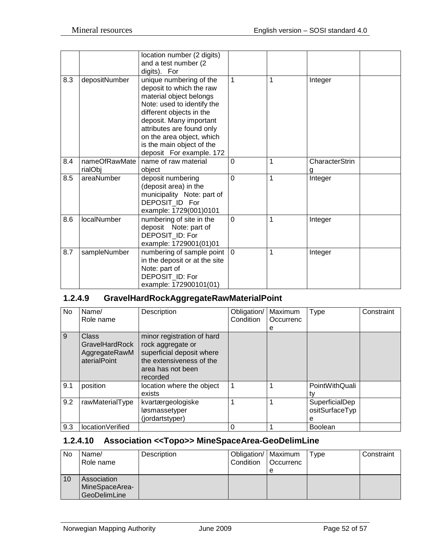|     |                          | location number (2 digits)<br>and a test number (2<br>digits). For                                                                                                                                                                                                                     |                |                |                     |
|-----|--------------------------|----------------------------------------------------------------------------------------------------------------------------------------------------------------------------------------------------------------------------------------------------------------------------------------|----------------|----------------|---------------------|
| 8.3 | depositNumber            | unique numbering of the<br>deposit to which the raw<br>material object belongs<br>Note: used to identify the<br>different objects in the<br>deposit. Many important<br>attributes are found only<br>on the area object, which<br>is the main object of the<br>deposit For example. 172 | $\mathbf{1}$   | 1              | Integer             |
| 8.4 | nameOfRawMate<br>rialObj | name of raw material<br>object                                                                                                                                                                                                                                                         | $\mathbf 0$    | 1              | CharacterStrin<br>g |
| 8.5 | areaNumber               | deposit numbering<br>(deposit area) in the<br>municipality Note: part of<br>DEPOSIT_ID For<br>example: 1729(001)0101                                                                                                                                                                   | $\overline{0}$ | $\overline{1}$ | Integer             |
| 8.6 | localNumber              | numbering of site in the<br>deposit Note: part of<br>DEPOSIT_ID: For<br>example: 1729001(01)01                                                                                                                                                                                         | $\Omega$       | 1              | Integer             |
| 8.7 | sampleNumber             | numbering of sample point<br>in the deposit or at the site<br>Note: part of<br>DEPOSIT ID: For<br>example: 172900101(01)                                                                                                                                                               | $\overline{0}$ | 1              | Integer             |

## <span id="page-51-0"></span>**1.2.4.9 GravelHardRockAggregateRawMaterialPoint**

| No  | Name/<br>Role name                                       | Description                                                                                                                               | Obligation/<br>Condition | Maximum<br>Occurrenc<br>е | Type                                  | Constraint |
|-----|----------------------------------------------------------|-------------------------------------------------------------------------------------------------------------------------------------------|--------------------------|---------------------------|---------------------------------------|------------|
| 9   | Class<br>GravelHardRock<br>AggregateRawM<br>aterialPoint | minor registration of hard<br>rock aggregate or<br>superficial deposit where<br>the extensiveness of the<br>area has not been<br>recorded |                          |                           |                                       |            |
| 9.1 | position                                                 | location where the object<br>exists                                                                                                       | 1                        |                           | PointWithQuali<br>tv                  |            |
| 9.2 | rawMaterialType                                          | kvartærgeologiske<br>løsmassetyper<br>(jordartstyper)                                                                                     | 1                        |                           | SuperficialDep<br>ositSurfaceTyp<br>е |            |
| 9.3 | location Verified                                        |                                                                                                                                           | $\Omega$                 |                           | <b>Boolean</b>                        |            |

# <span id="page-51-1"></span>**1.2.4.10 Association <<Topo>> MineSpaceArea-GeoDelimLine**

| No | Name/<br>Role name                            | Description | Obligation/   Maximum<br>Condition | <b>Occurrenc</b> | Type | Constraint |
|----|-----------------------------------------------|-------------|------------------------------------|------------------|------|------------|
| 10 | Association<br>MineSpaceArea-<br>GeoDelimLine |             |                                    |                  |      |            |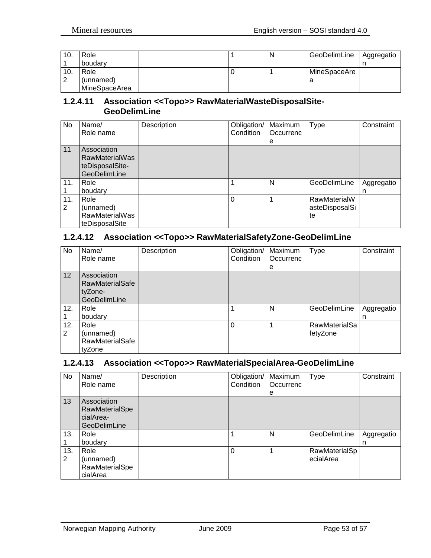| 10. | Role          |  | N | GeoDelimLine | Aggregatio |
|-----|---------------|--|---|--------------|------------|
|     | boudary       |  |   |              |            |
| 10. | Role          |  |   | MineSpaceAre |            |
| ⌒   | (unnamed)     |  |   |              |            |
|     | MineSpaceArea |  |   |              |            |

#### <span id="page-52-0"></span>**1.2.4.11 Association <<Topo>> RawMaterialWasteDisposalSite-GeoDelimLine**

| No       | Name/<br>Role name                                                      | Description | Obligation/<br>Condition | Maximum<br>Occurrenc<br>e | Type                                 | Constraint      |
|----------|-------------------------------------------------------------------------|-------------|--------------------------|---------------------------|--------------------------------------|-----------------|
| 11       | Association<br><b>RawMaterialWas</b><br>teDisposalSite-<br>GeoDelimLine |             |                          |                           |                                      |                 |
| 11.      | Role<br>boudary                                                         |             |                          | N                         | GeoDelimLine                         | Aggregatio<br>n |
| 11.<br>2 | Role<br>(unnamed)<br><b>RawMaterialWas</b><br>teDisposalSite            |             | $\Omega$                 |                           | RawMaterialW<br>asteDisposalSi<br>te |                 |

#### <span id="page-52-1"></span>**1.2.4.12 Association <<Topo>> RawMaterialSafetyZone-GeoDelimLine**

| No       | Name/<br>Role name                                               | Description | Obligation/<br>Condition | Maximum<br>Occurrenc | <b>Type</b>                      | Constraint      |
|----------|------------------------------------------------------------------|-------------|--------------------------|----------------------|----------------------------------|-----------------|
|          |                                                                  |             |                          | e                    |                                  |                 |
| 12       | Association<br><b>RawMaterialSafe</b><br>tyZone-<br>GeoDelimLine |             |                          |                      |                                  |                 |
| 12.      | Role<br>boudary                                                  |             |                          | N                    | GeoDelimLine                     | Aggregatio<br>n |
| 12.<br>2 | Role<br>(unnamed)<br><b>RawMaterialSafe</b><br>tyZone            |             | $\Omega$                 |                      | <b>RawMaterialSa</b><br>fetyZone |                 |

#### <span id="page-52-2"></span>**1.2.4.13 Association <<Topo>> RawMaterialSpecialArea-GeoDelimLine**

| No.      | Name/<br>Role name                                                | Description | Obligation/<br>Condition | Maximum<br>Occurrenc<br>e | <b>Type</b>                | Constraint      |
|----------|-------------------------------------------------------------------|-------------|--------------------------|---------------------------|----------------------------|-----------------|
| 13       | Association<br>RawMaterialSpe<br>cialArea-<br><b>GeoDelimLine</b> |             |                          |                           |                            |                 |
| 13.      | Role<br>boudary                                                   |             |                          | N                         | GeoDelimLine               | Aggregatio<br>n |
| 13.<br>2 | Role<br>(unnamed)<br>RawMaterialSpe<br>cialArea                   |             | $\Omega$                 |                           | RawMaterialSp<br>ecialArea |                 |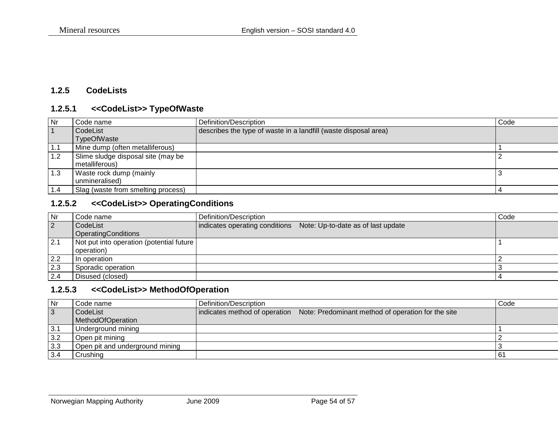## **1.2.5 CodeLists**

#### **1.2.5.1 <<CodeList>> TypeOfWaste**

| l Nr | Code name                          | Definition/Description                                          | Code |
|------|------------------------------------|-----------------------------------------------------------------|------|
| 1    | CodeList                           | describes the type of waste in a landfill (waste disposal area) |      |
|      | <b>TypeOfWaste</b>                 |                                                                 |      |
| 1.1  | Mine dump (often metalliferous)    |                                                                 |      |
| 1.2  | Slime sludge disposal site (may be |                                                                 |      |
|      | metalliferous)                     |                                                                 |      |
| 1.3  | Waste rock dump (mainly            |                                                                 |      |
|      | unmineralised)                     |                                                                 |      |
| 1.4  | Slag (waste from smelting process) |                                                                 |      |

#### **1.2.5.2 <<CodeList>> OperatingConditions**

<span id="page-53-1"></span><span id="page-53-0"></span>

| Nr             | Code name                                | Definition/Description |                                                                   | Code |
|----------------|------------------------------------------|------------------------|-------------------------------------------------------------------|------|
| $\overline{2}$ | CodeList                                 |                        | indicates operating conditions Note: Up-to-date as of last update |      |
|                | OperatingConditions                      |                        |                                                                   |      |
| 2.1            | Not put into operation (potential future |                        |                                                                   |      |
|                | operation)                               |                        |                                                                   |      |
| 2.2            | In operation                             |                        |                                                                   |      |
| 2.3            | Sporadic operation                       |                        |                                                                   |      |
| 2.4            | Disused (closed)                         |                        |                                                                   |      |

#### **1.2.5.3 <<CodeList>> MethodOfOperation**

<span id="page-53-3"></span><span id="page-53-2"></span>

| Nr             | Code name                       | Definition/Description |                                                                                  | Code |
|----------------|---------------------------------|------------------------|----------------------------------------------------------------------------------|------|
| $\overline{3}$ | CodeList                        |                        | indicates method of operation Note: Predominant method of operation for the site |      |
|                | MethodOfOperation               |                        |                                                                                  |      |
| $\vert$ 3.1    | Underground mining              |                        |                                                                                  |      |
| 3.2            | Open pit mining                 |                        |                                                                                  |      |
| 3.3            | Open pit and underground mining |                        |                                                                                  |      |
| 3.4            | Crushina                        |                        |                                                                                  | l 61 |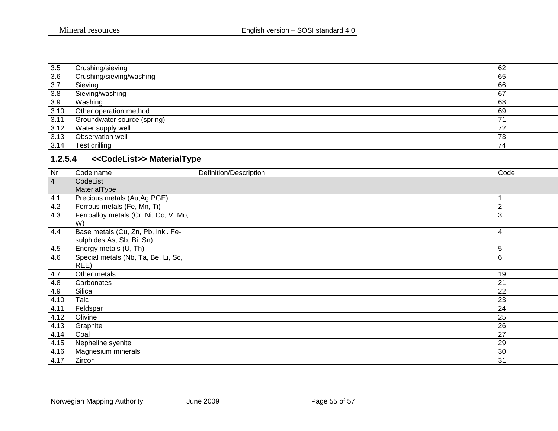| 3.5  | Crushing/sieving            | 62        |
|------|-----------------------------|-----------|
| 3.6  | Crushing/sieving/washing    | 65        |
| 3.7  | Sieving                     | 66        |
| 3.8  | Sieving/washing             | 67        |
| 3.9  | Washing                     | 68        |
| 3.10 | Other operation method      | 69        |
| 3.11 | Groundwater source (spring) | 74        |
| 3.12 | Water supply well           | 72        |
| 3.13 | Observation well            | 70<br>ن ، |
| 3.14 | Test drilling               | 74        |

# **1.2.5.4 <<CodeList>> MaterialType**

<span id="page-54-0"></span>

| Nr             | Code name                                                       | Definition/Description | Code           |
|----------------|-----------------------------------------------------------------|------------------------|----------------|
| $\overline{4}$ | CodeList                                                        |                        |                |
|                | MaterialType                                                    |                        |                |
| 4.1            | Precious metals (Au, Ag, PGE)                                   |                        |                |
| 4.2            | Ferrous metals (Fe, Mn, Ti)                                     |                        | $\overline{2}$ |
| 4.3            | Ferroalloy metals (Cr, Ni, Co, V, Mo,<br>W)                     |                        | 3              |
| 4.4            | Base metals (Cu, Zn, Pb, inkl. Fe-<br>sulphides As, Sb, Bi, Sn) |                        | 4              |
| 4.5            | Energy metals (U, Th)                                           |                        | 5              |
| 4.6            | Special metals (Nb, Ta, Be, Li, Sc,<br>REE)                     |                        | 6              |
| 4.7            | Other metals                                                    |                        | 19             |
| 4.8            | Carbonates                                                      |                        | 21             |
| 4.9            | Silica                                                          |                        | 22             |
| 4.10           | Talc                                                            |                        | 23             |
| 4.11           | Feldspar                                                        |                        | 24             |
| 4.12           | Olivine                                                         |                        | 25             |
| 4.13           | Graphite                                                        |                        | 26             |
| 4.14           | Coal                                                            |                        | 27             |
| 4.15           | Nepheline syenite                                               |                        | 29             |
| 4.16           | Magnesium minerals                                              |                        | 30             |
| 4.17           | Zircon                                                          |                        | 31             |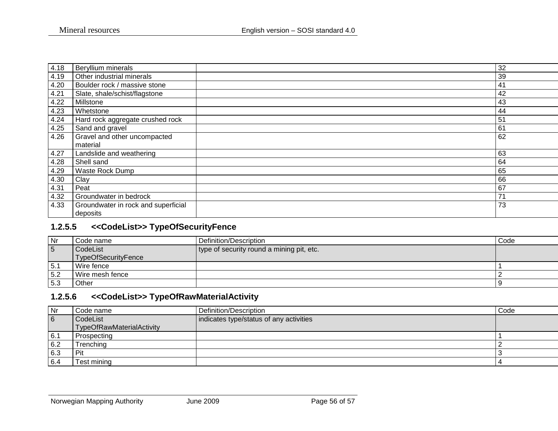| 4.18 | Beryllium minerals                  | 32             |
|------|-------------------------------------|----------------|
| 4.19 | Other industrial minerals           | 39             |
| 4.20 | Boulder rock / massive stone        | 41             |
| 4.21 | Slate, shale/schist/flagstone       | 42             |
| 4.22 | Millstone                           | 43             |
| 4.23 | Whetstone                           | 44             |
| 4.24 | Hard rock aggregate crushed rock    | 5 <sup>′</sup> |
| 4.25 | Sand and gravel                     | 6 <sup>1</sup> |
| 4.26 | Gravel and other uncompacted        | 62             |
|      | material                            |                |
| 4.27 | Landslide and weathering            | 63             |
| 4.28 | Shell sand                          | 64             |
| 4.29 | Waste Rock Dump                     | 65             |
| 4.30 | Clay                                | 66             |
| 4.31 | Peat                                | 67             |
| 4.32 | Groundwater in bedrock              | 71             |
| 4.33 | Groundwater in rock and superficial | 73             |
|      | deposits                            |                |

#### **1.2.5.5 <<CodeList>> TypeOfSecurityFence**

| Nr              | Code name                  | Definition/Description                    | Code |
|-----------------|----------------------------|-------------------------------------------|------|
| $5\phantom{.0}$ | CodeList                   | type of security round a mining pit, etc. |      |
|                 | <b>TypeOfSecurityFence</b> |                                           |      |
| 5.1             | Wire fence                 |                                           |      |
| 5.2             | Wire mesh fence            |                                           |      |
| 5.3             | Other                      |                                           |      |

# **1.2.5.6 <<CodeList>> TypeOfRawMaterialActivity**

<span id="page-55-1"></span><span id="page-55-0"></span>

| Nr  | Code name                 | Definition/Description                  | Code |
|-----|---------------------------|-----------------------------------------|------|
| 6   | CodeList                  | indicates type/status of any activities |      |
|     | TypeOfRawMaterialActivity |                                         |      |
| 6.1 | Prospecting               |                                         |      |
| 6.2 | Trenching                 |                                         |      |
| 6.3 | Pit                       |                                         |      |
| 6.4 | Test mining               |                                         |      |